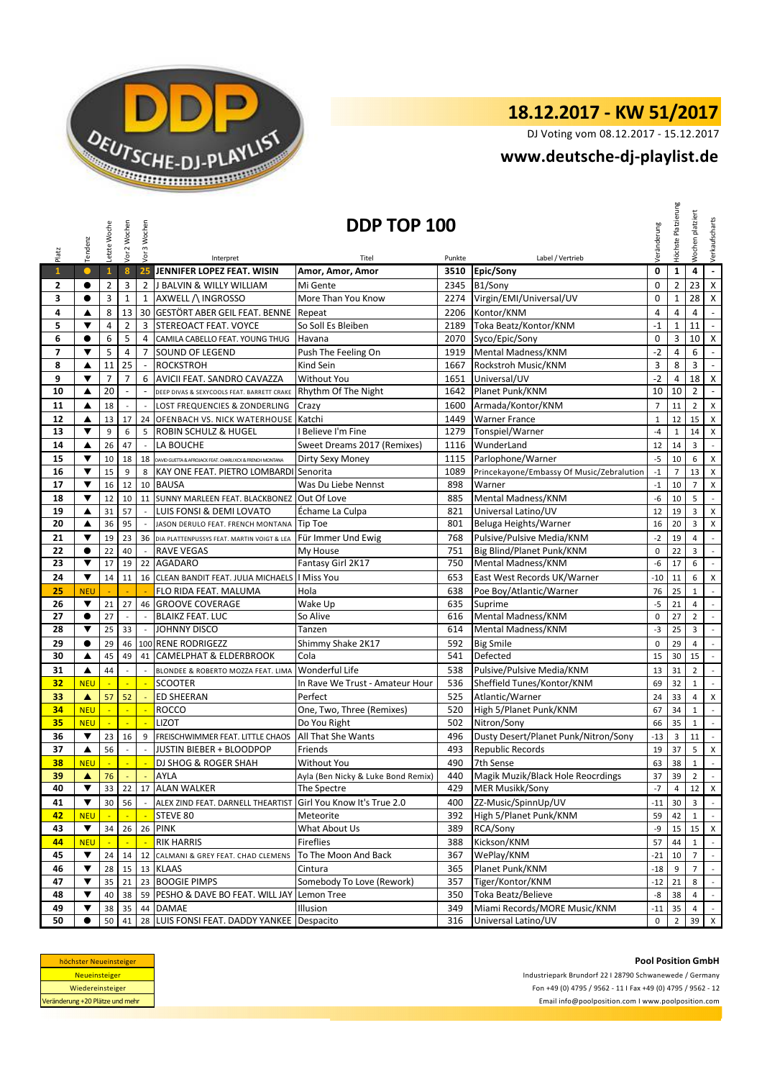

DJ Voting vom 08.12.2017 - 15.12.2017

## **<www.deutsche-dj-playlist.de>**

|                | Tendenz                 | Letzte Woche       | Vor 2 Wochen                   | Vor 3 Wochen                  |                                                              | DDP TOP 100<br>Veränderung         |            |                                           |                | Platzierung<br>Höchste | platziert<br>Wochen | Verkaufscharts                   |
|----------------|-------------------------|--------------------|--------------------------------|-------------------------------|--------------------------------------------------------------|------------------------------------|------------|-------------------------------------------|----------------|------------------------|---------------------|----------------------------------|
| Platz          |                         |                    |                                |                               | Interpret                                                    | Titel                              | Punkte     | Label / Vertrieb                          |                |                        |                     |                                  |
| $\mathbf{1}$   |                         | $\mathbf{1}$       | 8                              | 25                            | JENNIFER LOPEZ FEAT. WISIN                                   | Amor, Amor, Amor                   | 3510       | Epic/Sony                                 | $\mathbf 0$    | $\mathbf{1}$           | 4                   | $\omega$                         |
| 2              | $\bullet$               | 2                  | 3                              | $\overline{2}$                | J BALVIN & WILLY WILLIAM                                     | Mi Gente                           | 2345       | B1/Sony                                   | $\mathbf 0$    | 2                      | 23                  | $\mathsf{X}$                     |
| 3              | $\bullet$               | 3                  | $\mathbf 1$                    | $\mathbf{1}$                  | AXWELL / INGROSSO                                            | More Than You Know                 | 2274       | Virgin/EMI/Universal/UV                   | $\mathbf 0$    | $\mathbf 1$            | 28                  | X                                |
| 4              | ▲                       | 8                  | 13                             |                               | 30 GESTÖRT ABER GEIL FEAT. BENNE Repeat                      |                                    | 2206       | Kontor/KNM                                | $\overline{4}$ | 4                      | $\overline{4}$      | $\blacksquare$                   |
| 5              | ▼                       | $\overline{4}$     | $\overline{2}$                 | 3                             | STEREOACT FEAT. VOYCE                                        | So Soll Es Bleiben                 | 2189       | Toka Beatz/Kontor/KNM                     | $-1$           | $\mathbf 1$            | 11                  | $\omega$                         |
| 6              | $\bullet$               | 6                  | 5                              | $\overline{4}$                | CAMILA CABELLO FEAT. YOUNG THUG                              | Havana                             | 2070       | Syco/Epic/Sony                            | $\mathbf 0$    | 3                      | 10                  | $\mathsf{X}$                     |
| $\overline{7}$ | $\blacktriangledown$    | 5                  | $\overline{4}$                 | $\overline{7}$                | <b>SOUND OF LEGEND</b>                                       | Push The Feeling On                | 1919       | Mental Madness/KNM                        | $-2$           | 4                      | 6                   | $\blacksquare$                   |
| 8              | ▲                       | 11                 | 25                             | $\sim$                        | <b>ROCKSTROH</b>                                             | Kind Sein                          | 1667       | Rockstroh Music/KNM                       | 3              | 8                      | 3                   | $\omega$                         |
| 9              | ▼                       | $\overline{7}$     | $\overline{7}$                 | 6                             | AVICII FEAT. SANDRO CAVAZZA                                  | Without You                        | 1651       | Universal/UV                              | $-2$           | 4                      | 18                  | $\mathsf{X}$                     |
| 10             | ▲                       | 20                 | $\overline{\phantom{a}}$       | $\sim$                        | DEEP DIVAS & SEXYCOOLS FEAT. BARRETT CRAKE                   | Rhythm Of The Night                | 1642       | Planet Punk/KNM                           | 10             | 10                     | $\overline{2}$      | $\omega$                         |
| 11             | ▲                       | 18                 |                                | $\overline{\phantom{a}}$      | LOST FREQUENCIES & ZONDERLING                                | Crazy                              | 1600       | Armada/Kontor/KNM                         | $\overline{7}$ | 11                     | $\overline{2}$      | X                                |
| 12             | ▲                       | 13                 | 17                             |                               | 24 OFENBACH VS. NICK WATERHOUSE                              | Katchi                             | 1449       | <b>Warner France</b>                      | $\mathbf{1}$   | 12                     | 15                  | $\mathsf X$                      |
| 13             | ▼                       | 9                  | 6                              | 5                             | <b>ROBIN SCHULZ &amp; HUGEL</b>                              | I Believe I'm Fine                 | 1279       | Tonspiel/Warner                           | $-4$           | $\mathbf 1$            | 14                  | X                                |
| 14             | ▲                       | 26                 | 47                             | $\sim$                        | LA BOUCHE                                                    | Sweet Dreams 2017 (Remixes)        | 1116       | WunderLand                                | 12             | 14                     | 3                   | $\sim$                           |
| 15             | ▼                       | 10                 | 18                             | 18                            | DAVID GUETTA & AFROJACK FEAT. CHARLI XCX & FRENCH MONTANA    | Dirty Sexy Money                   | 1115       | Parlophone/Warner                         | $-5$           | 10                     | 6                   | $\pmb{\mathsf{X}}$               |
| 16             | ▼                       | 15                 | 9                              | 8                             | KAY ONE FEAT. PIETRO LOMBARDI Senorita                       |                                    | 1089       | Princekayone/Embassy Of Music/Zebralution | $^{\rm -1}$    | $\overline{7}$         | 13                  | X                                |
| 17             | ▼                       | 16                 | 12                             | 10                            | <b>BAUSA</b>                                                 | Was Du Liebe Nennst                | 898        | Warner                                    | $-1$           | 10                     | $\overline{7}$      | X                                |
| 18             | $\overline{\mathbf{v}}$ | 12                 | 10                             |                               | 11 SUNNY MARLEEN FEAT. BLACKBONEZ                            | Out Of Love                        | 885        | Mental Madness/KNM                        | -6             | 10                     | 5                   | $\blacksquare$                   |
| 19             | ▲                       | 31                 | 57                             |                               | LUIS FONSI & DEMI LOVATO                                     | Échame La Culpa                    | 821        | Universal Latino/UV                       | 12             | 19                     | 3                   | $\pmb{\times}$                   |
| 20             | ▲                       | 36                 | 95                             |                               | JASON DERULO FEAT. FRENCH MONTANA                            | <b>Tip Toe</b>                     | 801        | Beluga Heights/Warner                     | 16             | 20                     | 3                   | X                                |
| 21             | ▼                       | 19                 | 23                             |                               | 36 DIA PLATTENPUSSYS FEAT. MARTIN VOIGT & LEA                | Für Immer Und Ewig                 | 768        | Pulsive/Pulsive Media/KNM                 | $-2$           | 19                     | 4                   | $\sim$                           |
| 22             | $\bullet$               | 22                 | 40                             | $\overline{\phantom{a}}$      | <b>RAVE VEGAS</b>                                            | My House                           | 751        | Big Blind/Planet Punk/KNM                 | $\mathbf 0$    | 22                     | 3                   | $\overline{\phantom{a}}$         |
| 23             | ▼                       | 17                 | 19                             | 22                            | <b>AGADARO</b>                                               | Fantasy Girl 2K17                  | 750        | Mental Madness/KNM                        | -6             | 17                     | 6                   | $\sim$                           |
| 24             | ▼                       | 14                 | 11                             | 16                            | CLEAN BANDIT FEAT. JULIA MICHAELS                            | I Miss You                         | 653        | East West Records UK/Warner               | $-10$          | 11                     | 6                   | $\mathsf{x}$                     |
| 25             | <b>NEU</b>              |                    |                                |                               | FLO RIDA FEAT. MALUMA                                        | Hola                               | 638        | Poe Boy/Atlantic/Warner                   | 76             | 25                     | $\mathbf{1}$        | $\sim$                           |
| 26             | $\blacktriangledown$    | 21                 | 27                             |                               | 46 GROOVE COVERAGE                                           | Wake Up                            | 635        | Suprime                                   | $-5$           | 21                     | 4                   | $\sim$                           |
| 27             | $\bullet$               | 27                 | $\overline{\phantom{a}}$       | $\overline{\phantom{a}}$      | <b>BLAIKZ FEAT. LUC</b>                                      | So Alive                           | 616        | Mental Madness/KNM                        | $\mathbf 0$    | 27                     | $\overline{2}$      | $\mathbb{Z}^2$                   |
| 28             | ▼                       | 25                 | 33                             | $\sim$                        | JOHNNY DISCO                                                 | Tanzen                             | 614        | Mental Madness/KNM                        | $-3$           | 25                     | 3                   | $\sim$                           |
| 29             | $\bullet$               | 29                 | 46                             | 100                           | <b>RENE RODRIGEZZ</b>                                        | Shimmy Shake 2K17                  | 592        | <b>Big Smile</b>                          | $\mathbf 0$    | 29                     | 4                   | $\mathbb{L}$                     |
| 30             | ▲                       | 45                 | 49                             | 41                            | <b>CAMELPHAT &amp; ELDERBROOK</b>                            | Cola                               | 541        | Defected                                  | 15             | 30                     | 15                  | $\sim$                           |
| 31             | ▲                       | 44                 | $\overline{a}$                 | $\overline{a}$                | BLONDEE & ROBERTO MOZZA FEAT. LIMA                           | <b>Wonderful Life</b>              | 538        | Pulsive/Pulsive Media/KNM                 | 13             | 31                     | $\overline{2}$      | $\sim$                           |
| 32             | <b>NEU</b>              | ÷,                 | ÷.                             | $\mathbb{Z}^2$                | <b>SCOOTER</b>                                               | In Rave We Trust - Amateur Hour    | 536        | Sheffield Tunes/Kontor/KNM                | 69             | 32                     | $\mathbf{1}$        | $\sim$                           |
| 33             | ▲                       | 57                 | 52                             |                               | <b>ED SHEERAN</b>                                            | Perfect                            | 525        | Atlantic/Warner                           | 24             | 33                     | 4                   | $\pmb{\mathsf{X}}$               |
| 34             | <b>NEU</b>              | ÷,<br>$\mathbb{Z}$ | ÷.<br>×.                       | ÷,<br>×.                      | <b>ROCCO</b>                                                 | One, Two, Three (Remixes)          | 520        | High 5/Planet Punk/KNM<br>Nitron/Sony     | 67             | 34                     | $\mathbf{1}$        | $\mathcal{L}_{\mathcal{A}}$      |
| 35             | <b>NEU</b><br>▼         |                    |                                |                               | <b>LIZOT</b>                                                 | Do You Right<br>All That She Wants | 502        | Dusty Desert/Planet Punk/Nitron/Sony      | 66<br>$-13$    | 35<br>3                | $\mathbf{1}$<br>11  | $\blacksquare$<br>$\mathbb{Z}^2$ |
| 36<br>37       | ▲                       | 23<br>56           | 16<br>$\overline{\phantom{a}}$ | 9<br>$\overline{\phantom{a}}$ | FREISCHWIMMER FEAT. LITTLE CHAOS<br>JUSTIN BIEBER + BLOODPOP | Friends                            | 496<br>493 | <b>Republic Records</b>                   | 19             | 37                     | 5                   | $\pmb{\mathsf{X}}$               |
| 38             | <b>NEU</b>              |                    |                                |                               | DJ SHOG & ROGER SHAH                                         | <b>Without You</b>                 | 490        | 7th Sense                                 | 63             | 38                     | $\mathbf 1$         | $\mathbb{Z}^2$                   |
| 39             |                         |                    | $\sim$                         | $\sim$                        | <b>AYLA</b>                                                  | Ayla (Ben Nicky & Luke Bond Remix) | 440        | Magik Muzik/Black Hole Reocrdings         |                |                        |                     | $\sim$                           |
| 40             | ▲<br>▼                  | 76<br>33           | 22                             |                               | 17 ALAN WALKER                                               | The Spectre                        | 429        | <b>MER Musikk/Sony</b>                    | 37 I<br>$-7$   | 39 I<br>$\overline{4}$ | 2 <sub>1</sub>      | $12 \times$                      |
| 41             | ▼                       | 30                 | 56                             | $\overline{\phantom{a}}$      | ALEX ZIND FEAT. DARNELL THEARTIST                            | Girl You Know It's True 2.0        | 400        | ZZ-Music/SpinnUp/UV                       | $-11$          | 30 <sup>°</sup>        | 3 <sup>7</sup>      | $\sim$                           |
| 42             | <b>NEU</b>              |                    |                                | <u>ا پا</u>                   | STEVE 80                                                     | Meteorite                          | 392        | High 5/Planet Punk/KNM                    | 59             | 42                     | $\mathbf{1}$        | $\sim$                           |
| 43             | $\blacktriangledown$    | 34                 | 26                             |                               | 26 PINK                                                      | What About Us                      | 389        | RCA/Sony                                  | -9             | 15 <sup>1</sup>        |                     | $15$ X                           |
| 44             | <b>NEU</b>              |                    |                                |                               | <b>RIK HARRIS</b>                                            | Fireflies                          | 388        | Kickson/KNM                               | 57             | 44                     | $\mathbf{1}$        | $\sim$                           |
| 45             | $\blacktriangledown$    | 24                 | 14                             | 12                            | CALMANI & GREY FEAT. CHAD CLEMENS                            | To The Moon And Back               | 367        | WePlay/KNM                                | $-21$          | 10                     | $\overline{7}$      | $\omega$                         |
| 46             | ▼                       | 28                 | 15                             |                               | 13 KLAAS                                                     | Cintura                            | 365        | Planet Punk/KNM                           | $-18$          | 9                      | 7                   | $\sim$                           |
| 47             | $\blacktriangledown$    | 35                 | 21                             |                               | 23 BOOGIE PIMPS                                              | Somebody To Love (Rework)          | 357        | Tiger/Kontor/KNM                          | $-12$          | 21                     | 8                   | $\sim$                           |
| 48             | ▼                       | 40                 | 38                             | 59                            | PESHO & DAVE BO FEAT. WILL JAY                               | Lemon Tree                         | 350        | Toka Beatz/Believe                        | -8             | 38                     | 4                   | $\sim$                           |
| 49             | ▼                       | 38                 | 35                             | 44                            | DAMAE                                                        | Illusion                           | 349        | Miami Records/MORE Music/KNM              | $-11$          | 35                     | 4                   | $\sim$                           |
| 50             |                         | 50                 | 41                             | 28                            | LUIS FONSI FEAT. DADDY YANKEE Despacito                      |                                    | 316        | Universal Latino/UV                       | 0              | $\overline{2}$         |                     | 39 X                             |
|                |                         |                    |                                |                               |                                                              |                                    |            |                                           |                |                        |                     |                                  |

| höchster Neueinsteiger          |  |  |  |  |  |
|---------------------------------|--|--|--|--|--|
| <b>Neueinsteiger</b>            |  |  |  |  |  |
| Wiedereinsteiger                |  |  |  |  |  |
| Veränderung +20 Plätze und mehr |  |  |  |  |  |

Fon +49 (0) 4795 / 9562 - 11 I Fax +49 (0) 4795 / 9562 - 12 <Email info@poolposition.com I www.poolposition.com> Industriepark Brundorf 22 I 28790 Schwanewede / Germany

**Pool Position GmbH**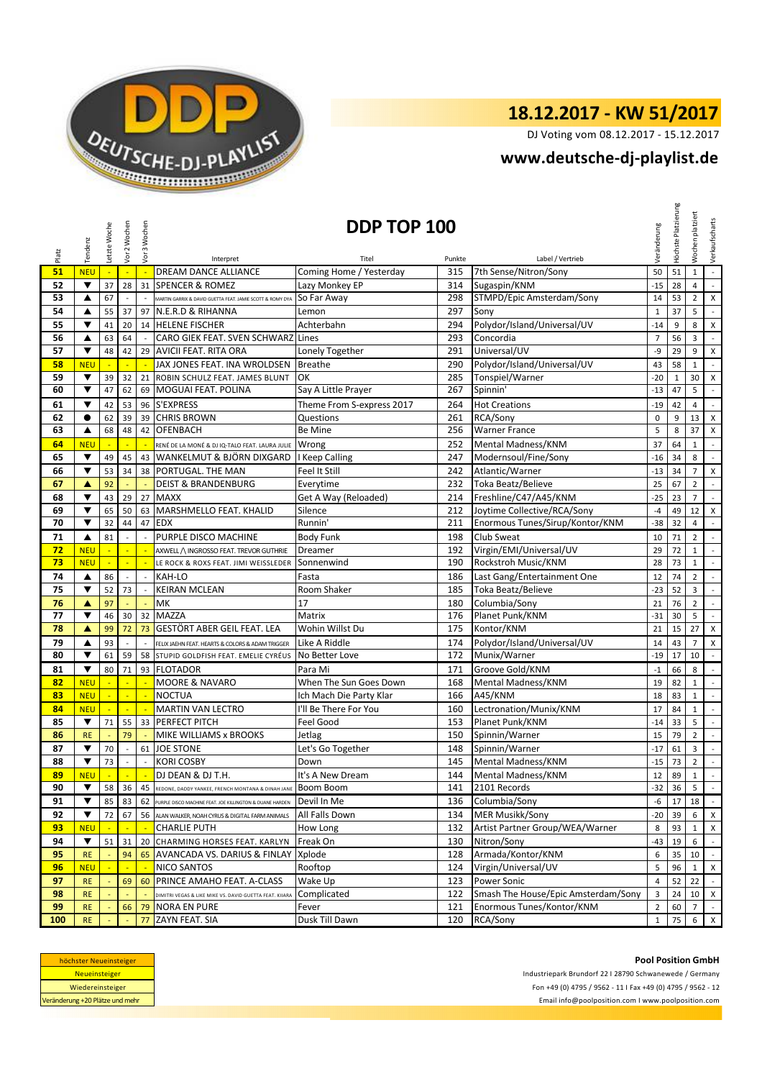

DJ Voting vom 08.12.2017 - 15.12.2017

## **<www.deutsche-dj-playlist.de>**

| Label / Vertrieb<br>Interpret<br>Titel<br>Punkte<br>DREAM DANCE ALLIANCE<br>Coming Home / Yesterday<br>7th Sense/Nitron/Sony<br>51<br><b>NEU</b><br>315<br>50<br>51<br>$\mathbf{1}$<br>$\mathbb{Z}$<br>$\mathbb{Z}$<br>÷,<br>52<br>▼<br>37<br><b>SPENCER &amp; ROMEZ</b><br>Lazy Monkey EP<br>314<br>Sugaspin/KNM<br>28<br>31<br>$-15$<br>28<br>4<br>298<br>STMPD/Epic Amsterdam/Sony<br>53<br>67<br>So Far Away<br>14<br>▲<br>53<br>$\overline{2}$<br>MARTIN GARRIX & DAVID GUETTA FEAT. JAMIE SCOTT & ROMY DYA<br>297<br>54<br>55<br>37<br>N.E.R.D & RIHANNA<br>Sony<br>37<br>5<br>97<br>Lemon<br>$\mathbf{1}$<br>▲<br>Polydor/Island/Universal/UV<br>▼<br>294<br>55<br>41<br>20<br>14<br><b>HELENE FISCHER</b><br>Achterbahn<br>$-14$<br>9<br>8<br>63<br>293<br>Concordia<br>$\overline{7}$<br>56<br>64<br>CARO GIEK FEAT. SVEN SCHWARZ<br>56<br>3<br>$\sim$<br>Lines<br>▲<br>291<br>Universal/UV<br>57<br>▼<br>48<br><b>AVICII FEAT. RITA ORA</b><br>Lonely Together<br>-9<br>29<br>9<br>42<br>29<br>290<br>Polydor/Island/Universal/UV<br>58<br><b>NEU</b><br>$\mathbb{Z}$<br>JAX JONES FEAT. INA WROLDSEN<br><b>Breathe</b><br>43<br>58<br>$\mathbf{1}$<br>285<br>59<br>▼<br>39<br>ROBIN SCHULZ FEAT. JAMES BLUNT<br>Tonspiel/Warner<br>$-20$<br>32<br>21<br>OK<br>30<br>$\mathbf{1}$<br>47<br>MOGUAI FEAT. POLINA<br>267<br>60<br>▼<br>62<br>Spinnin'<br>$-13$<br>47<br>5<br>69<br>Say A Little Prayer<br>S'EXPRESS<br>▼<br>42<br>53<br>96<br>Theme From S-express 2017<br>264<br><b>Hot Creations</b><br>61<br>$-19$<br>42<br>4<br>62<br>261<br>RCA/Sony<br>$\bullet$<br>39<br><b>CHRIS BROWN</b><br>Questions<br>$\pmb{0}$<br>62<br>39<br>9<br>13<br>256<br>5<br>63<br>68<br>48<br>42<br><b>OFENBACH</b><br>Be Mine<br><b>Warner France</b><br>8<br>37<br>▲<br>64<br>252<br>Mental Madness/KNM<br><b>NEU</b><br>Wrong<br>37<br>64<br>$\mathbf{1}$<br>RENÉ DE LA MONÉ & DJ IQ-TALO FEAT. LAURA JULIE<br>8<br>65<br>▼<br>49<br>45<br>WANKELMUT & BJÖRN DIXGARD<br>I Keep Calling<br>247<br>Modernsoul/Fine/Sony<br>$-16$<br>43<br>34<br>53<br>PORTUGAL. THE MAN<br>242<br>Atlantic/Warner<br>66<br>▼<br>34<br>Feel It Still<br>$-13$<br>34<br>$\overline{7}$<br>38<br>67<br>92<br>232<br>Toka Beatz/Believe<br><b>DEIST &amp; BRANDENBURG</b><br>Everytime<br>25<br>67<br>$\overline{2}$<br>A<br>▼<br><b>MAXX</b><br>214<br>Freshline/C47/A45/KNM<br>$-25$<br>$\overline{7}$<br>68<br>43<br>29<br>27<br>Get A Way (Reloaded)<br>23<br>▼<br>65<br>50<br>Silence<br>212<br>Joytime Collective/RCA/Sony<br>69<br>MARSHMELLO FEAT. KHALID<br>$-4$<br>12<br>63<br>49<br>32<br>Enormous Tunes/Sirup/Kontor/KNM<br>70<br>▼<br>47<br><b>EDX</b><br>Runnin<br>211<br>-38<br>44<br>32<br>4<br>71<br>81<br>PURPLE DISCO MACHINE<br>198<br><b>Club Sweat</b><br>$\overline{2}$<br>$\blacktriangle$<br><b>Body Funk</b><br>10<br>71<br>192<br>Virgin/EMI/Universal/UV<br>72<br>29<br>$\mathbf{1}$<br><b>NEU</b><br>Dreamer<br>72<br>AXWELL / INGROSSO FEAT. TREVOR GUTHRIE<br>Rockstroh Music/KNM<br>73<br>190<br>73<br>$\mathbf{1}$<br><b>NEU</b><br>Sonnenwind<br>28<br>LE ROCK & ROXS FEAT. JIMI WEISSLEDER<br>86<br>74<br>KAH-LO<br>Last Gang/Entertainment One<br>74<br>$\overline{2}$<br>▲<br>$\sim$<br>$\sim$<br>Fasta<br>186<br>12<br>▼<br>52<br>73<br>185<br>Toka Beatz/Believe<br>75<br><b>KEIRAN MCLEAN</b><br>Room Shaker<br>$-23$<br>52<br>3<br>17<br>97<br>MK<br>Columbia/Sony<br>76<br>180<br>21<br>76<br>$\overline{2}$<br>▲<br>÷.<br>77<br>▼<br>46<br><b>MAZZA</b><br>Planet Punk/KNM<br>30<br>Matrix<br>176<br>$-31$<br>5<br>32<br>30<br>$\blacksquare$<br>78<br>GESTÖRT ABER GEIL FEAT. LEA<br>Wohin Willst Du<br>175<br>Kontor/KNM<br>21<br>▲<br>99<br>72<br>73<br>15<br>27<br>X<br>X<br>79<br>93<br>174<br>Polydor/Island/Universal/UV<br>$\overline{7}$<br>▲<br>Like A Riddle<br>14<br>43<br>FELIX JAEHN FEAT. HEARTS & COLORS & ADAM TRIGGER<br>80<br>61<br>172<br>Munix/Warner<br>▼<br>59<br>No Better Love<br>$-19$<br>17<br>10<br>58<br>$\mathcal{L}_{\mathcal{A}}$<br>STUPID GOLDFISH FEAT. EMELIE CYRÉUS<br>$\blacktriangledown$<br>80<br>71<br><b>FLOTADOR</b><br>Groove Gold/KNM<br>$\sim$<br>81<br>93<br>Para Mi<br>171<br>$^{\mbox{-}1}$<br>66<br>8<br><b>NEU</b><br><b>MOORE &amp; NAVARO</b><br>When The Sun Goes Down<br>168<br>Mental Madness/KNM<br>82<br>$\mathbf 1$<br>82<br>19<br>$\sim$<br>L.<br>÷.<br>A45/KNM<br>83<br><b>NEU</b><br><b>NOCTUA</b><br>Ich Mach Die Party Klar<br>166<br>18<br>83<br>$\mathbf{1}$<br>L.<br>Lectronation/Munix/KNM<br>84<br><b>NEU</b><br><b>MARTIN VAN LECTRO</b><br>I'll Be There For You<br>160<br>84<br>$\mathbf 1$<br>17<br>$\mathbb{Z}^2$<br>71<br>153<br>85<br>▼<br>55<br>33 PERFECT PITCH<br>Feel Good<br>Planet Punk/KNM<br>5<br>$-14$<br>33<br>$\overline{2}$<br>79<br>MIKE WILLIAMS x BROOKS<br>150<br>Spinnin/Warner<br>79<br>86<br><b>RE</b><br>Jetlag<br>15<br>Let's Go Together<br>87<br>▼<br>70<br>61<br><b>JOE STONE</b><br>148<br>Spinnin/Warner<br>$-17$<br>3<br>61<br>$\overline{\phantom{a}}$<br>73<br>$\overline{2}$<br>88<br>▼<br><b>KORI COSBY</b><br>145<br>Mental Madness/KNM<br>$-15$<br>73<br>Down<br>It's A New Dream<br>144 Mental Madness/KNM<br>DJ DEAN & DJ T.H.<br>89<br>12 89 1<br><b>NEU</b><br>$\sim$<br>$\sim$<br>$\blacksquare$<br>2101 Records<br>$5\phantom{.0}$<br>90<br>▼<br>58<br>36<br>141<br>$-32$ 36<br>45<br>Boom Boom<br>REDONE, DADDY YANKEE, FRENCH MONTANA & DINAH JANE<br>91<br>Devil In Me<br>136<br>Columbia/Sony<br>▼<br>85<br>-6<br>17<br>18<br>83<br>62<br>PURPLE DISCO MACHINE FEAT. JOE KILLINGTON & DUANE HARDEN<br><b>MER Musikk/Sony</b><br>92<br>72<br>56 ALAN WALKER, NOAH CYRUS & DIGITAL FARM ANIMALS<br>All Falls Down<br>134<br>$6 \times$<br>▼<br>67<br>$-20$ 39<br>Artist Partner Group/WEA/Warner<br><b>CHARLIE PUTH</b><br>132<br>93<br>93<br><b>NEU</b><br>How Long<br>8<br>$\mathbf{1}$<br>94<br>▼<br>51<br>CHARMING HORSES FEAT. KARLYN<br>Freak On<br>130<br>Nitron/Sony<br>31<br>$-43$<br>19<br>6<br>20<br>Armada/Kontor/KNM<br>95<br>94<br><b>AVANCADA VS. DARIUS &amp; FINLAY</b><br>Xplode<br>128<br>6<br>35<br>10<br><b>RE</b><br>65<br>Virgin/Universal/UV<br>96<br>Rooftop<br>124<br>5<br>NICO SANTOS<br>96<br><u>NEU</u><br>$\mathbf{1}$<br>97<br>69<br>PRINCE AMAHO FEAT. A-CLASS<br>Wake Up<br>123<br><b>Power Sonic</b><br>22<br><b>RE</b><br>60<br>$\overline{4}$<br>52<br>Smash The House/Epic Amsterdam/Sony<br>98<br>122<br>Complicated<br>3<br>24<br>10 <sup>1</sup><br><b>RE</b><br>.<br>DIMITRI VEGAS & LIKE MIKE VS. DAVID GUETTA FEAT. KIIARA<br>99<br>Enormous Tunes/Kontor/KNM<br><b>RE</b><br><b>NORA EN PURE</b><br>Fever<br>121<br>$\overline{2}$<br>$7\overline{ }$<br>66<br>79<br>60<br>100<br>ZAYN FEAT. SIA<br>Dusk Till Dawn<br>120<br>RCA/Sony<br><b>RE</b><br>77<br>$\mathbf{1}$<br>75<br>6 |       | Tendenz | Letzte Woche | Vor 2 Wochen | Vor 3 Wochen | DDP TOP 100 |  |  |  | Veränderung | Höchste Platzierung | platziert<br>Wochen | Verkaufscharts              |
|----------------------------------------------------------------------------------------------------------------------------------------------------------------------------------------------------------------------------------------------------------------------------------------------------------------------------------------------------------------------------------------------------------------------------------------------------------------------------------------------------------------------------------------------------------------------------------------------------------------------------------------------------------------------------------------------------------------------------------------------------------------------------------------------------------------------------------------------------------------------------------------------------------------------------------------------------------------------------------------------------------------------------------------------------------------------------------------------------------------------------------------------------------------------------------------------------------------------------------------------------------------------------------------------------------------------------------------------------------------------------------------------------------------------------------------------------------------------------------------------------------------------------------------------------------------------------------------------------------------------------------------------------------------------------------------------------------------------------------------------------------------------------------------------------------------------------------------------------------------------------------------------------------------------------------------------------------------------------------------------------------------------------------------------------------------------------------------------------------------------------------------------------------------------------------------------------------------------------------------------------------------------------------------------------------------------------------------------------------------------------------------------------------------------------------------------------------------------------------------------------------------------------------------------------------------------------------------------------------------------------------------------------------------------------------------------------------------------------------------------------------------------------------------------------------------------------------------------------------------------------------------------------------------------------------------------------------------------------------------------------------------------------------------------------------------------------------------------------------------------------------------------------------------------------------------------------------------------------------------------------------------------------------------------------------------------------------------------------------------------------------------------------------------------------------------------------------------------------------------------------------------------------------------------------------------------------------------------------------------------------------------------------------------------------------------------------------------------------------------------------------------------------------------------------------------------------------------------------------------------------------------------------------------------------------------------------------------------------------------------------------------------------------------------------------------------------------------------------------------------------------------------------------------------------------------------------------------------------------------------------------------------------------------------------------------------------------------------------------------------------------------------------------------------------------------------------------------------------------------------------------------------------------------------------------------------------------------------------------------------------------------------------------------------------------------------------------------------------------------------------------------------------------------------------------------------------------------------------------------------------------------------------------------------------------------------------------------------------------------------------------------------------------------------------------------------------------------------------------------------------------------------------------------------------------------------------------------------------------------------------------------------------------------------------------------------------------------------------------------------------------------------------------------------------------------------------------------------------------------------------------------------------------------------------------------------------------------------------------------------------------------------------------------------------------------------------------------------------------------------------------------------------------------------------------------------------------------------------------------------------------------------------------------------------------------------------------------------------------------------------------------------------------------------------------------------------------------------------------------------------------------------------------------------------------------------------------------------------------------------------------------------------------------------------------------------------------------------------------------------------------------------------------------------------------------------------------------------------------------------------------------------------------------------------------------------------------------------------------------------------------------------------------------------------------------------------------------------------------------------------------------------------|-------|---------|--------------|--------------|--------------|-------------|--|--|--|-------------|---------------------|---------------------|-----------------------------|
|                                                                                                                                                                                                                                                                                                                                                                                                                                                                                                                                                                                                                                                                                                                                                                                                                                                                                                                                                                                                                                                                                                                                                                                                                                                                                                                                                                                                                                                                                                                                                                                                                                                                                                                                                                                                                                                                                                                                                                                                                                                                                                                                                                                                                                                                                                                                                                                                                                                                                                                                                                                                                                                                                                                                                                                                                                                                                                                                                                                                                                                                                                                                                                                                                                                                                                                                                                                                                                                                                                                                                                                                                                                                                                                                                                                                                                                                                                                                                                                                                                                                                                                                                                                                                                                                                                                                                                                                                                                                                                                                                                                                                                                                                                                                                                                                                                                                                                                                                                                                                                                                                                                                                                                                                                                                                                                                                                                                                                                                                                                                                                                                                                                                                                                                                                                                                                                                                                                                                                                                                                                                                                                                                                                                                                                                                                                                                                                                                                                                                                                                                                                                                                                                                                                                                                            | Platz |         |              |              |              |             |  |  |  |             |                     |                     |                             |
|                                                                                                                                                                                                                                                                                                                                                                                                                                                                                                                                                                                                                                                                                                                                                                                                                                                                                                                                                                                                                                                                                                                                                                                                                                                                                                                                                                                                                                                                                                                                                                                                                                                                                                                                                                                                                                                                                                                                                                                                                                                                                                                                                                                                                                                                                                                                                                                                                                                                                                                                                                                                                                                                                                                                                                                                                                                                                                                                                                                                                                                                                                                                                                                                                                                                                                                                                                                                                                                                                                                                                                                                                                                                                                                                                                                                                                                                                                                                                                                                                                                                                                                                                                                                                                                                                                                                                                                                                                                                                                                                                                                                                                                                                                                                                                                                                                                                                                                                                                                                                                                                                                                                                                                                                                                                                                                                                                                                                                                                                                                                                                                                                                                                                                                                                                                                                                                                                                                                                                                                                                                                                                                                                                                                                                                                                                                                                                                                                                                                                                                                                                                                                                                                                                                                                                            |       |         |              |              |              |             |  |  |  |             |                     |                     | $\mathcal{L}_{\mathcal{A}}$ |
|                                                                                                                                                                                                                                                                                                                                                                                                                                                                                                                                                                                                                                                                                                                                                                                                                                                                                                                                                                                                                                                                                                                                                                                                                                                                                                                                                                                                                                                                                                                                                                                                                                                                                                                                                                                                                                                                                                                                                                                                                                                                                                                                                                                                                                                                                                                                                                                                                                                                                                                                                                                                                                                                                                                                                                                                                                                                                                                                                                                                                                                                                                                                                                                                                                                                                                                                                                                                                                                                                                                                                                                                                                                                                                                                                                                                                                                                                                                                                                                                                                                                                                                                                                                                                                                                                                                                                                                                                                                                                                                                                                                                                                                                                                                                                                                                                                                                                                                                                                                                                                                                                                                                                                                                                                                                                                                                                                                                                                                                                                                                                                                                                                                                                                                                                                                                                                                                                                                                                                                                                                                                                                                                                                                                                                                                                                                                                                                                                                                                                                                                                                                                                                                                                                                                                                            |       |         |              |              |              |             |  |  |  |             |                     |                     | $\mathbb{L}$                |
|                                                                                                                                                                                                                                                                                                                                                                                                                                                                                                                                                                                                                                                                                                                                                                                                                                                                                                                                                                                                                                                                                                                                                                                                                                                                                                                                                                                                                                                                                                                                                                                                                                                                                                                                                                                                                                                                                                                                                                                                                                                                                                                                                                                                                                                                                                                                                                                                                                                                                                                                                                                                                                                                                                                                                                                                                                                                                                                                                                                                                                                                                                                                                                                                                                                                                                                                                                                                                                                                                                                                                                                                                                                                                                                                                                                                                                                                                                                                                                                                                                                                                                                                                                                                                                                                                                                                                                                                                                                                                                                                                                                                                                                                                                                                                                                                                                                                                                                                                                                                                                                                                                                                                                                                                                                                                                                                                                                                                                                                                                                                                                                                                                                                                                                                                                                                                                                                                                                                                                                                                                                                                                                                                                                                                                                                                                                                                                                                                                                                                                                                                                                                                                                                                                                                                                            |       |         |              |              |              |             |  |  |  |             |                     |                     | X                           |
|                                                                                                                                                                                                                                                                                                                                                                                                                                                                                                                                                                                                                                                                                                                                                                                                                                                                                                                                                                                                                                                                                                                                                                                                                                                                                                                                                                                                                                                                                                                                                                                                                                                                                                                                                                                                                                                                                                                                                                                                                                                                                                                                                                                                                                                                                                                                                                                                                                                                                                                                                                                                                                                                                                                                                                                                                                                                                                                                                                                                                                                                                                                                                                                                                                                                                                                                                                                                                                                                                                                                                                                                                                                                                                                                                                                                                                                                                                                                                                                                                                                                                                                                                                                                                                                                                                                                                                                                                                                                                                                                                                                                                                                                                                                                                                                                                                                                                                                                                                                                                                                                                                                                                                                                                                                                                                                                                                                                                                                                                                                                                                                                                                                                                                                                                                                                                                                                                                                                                                                                                                                                                                                                                                                                                                                                                                                                                                                                                                                                                                                                                                                                                                                                                                                                                                            |       |         |              |              |              |             |  |  |  |             |                     |                     | $\sim$                      |
|                                                                                                                                                                                                                                                                                                                                                                                                                                                                                                                                                                                                                                                                                                                                                                                                                                                                                                                                                                                                                                                                                                                                                                                                                                                                                                                                                                                                                                                                                                                                                                                                                                                                                                                                                                                                                                                                                                                                                                                                                                                                                                                                                                                                                                                                                                                                                                                                                                                                                                                                                                                                                                                                                                                                                                                                                                                                                                                                                                                                                                                                                                                                                                                                                                                                                                                                                                                                                                                                                                                                                                                                                                                                                                                                                                                                                                                                                                                                                                                                                                                                                                                                                                                                                                                                                                                                                                                                                                                                                                                                                                                                                                                                                                                                                                                                                                                                                                                                                                                                                                                                                                                                                                                                                                                                                                                                                                                                                                                                                                                                                                                                                                                                                                                                                                                                                                                                                                                                                                                                                                                                                                                                                                                                                                                                                                                                                                                                                                                                                                                                                                                                                                                                                                                                                                            |       |         |              |              |              |             |  |  |  |             |                     |                     | X                           |
|                                                                                                                                                                                                                                                                                                                                                                                                                                                                                                                                                                                                                                                                                                                                                                                                                                                                                                                                                                                                                                                                                                                                                                                                                                                                                                                                                                                                                                                                                                                                                                                                                                                                                                                                                                                                                                                                                                                                                                                                                                                                                                                                                                                                                                                                                                                                                                                                                                                                                                                                                                                                                                                                                                                                                                                                                                                                                                                                                                                                                                                                                                                                                                                                                                                                                                                                                                                                                                                                                                                                                                                                                                                                                                                                                                                                                                                                                                                                                                                                                                                                                                                                                                                                                                                                                                                                                                                                                                                                                                                                                                                                                                                                                                                                                                                                                                                                                                                                                                                                                                                                                                                                                                                                                                                                                                                                                                                                                                                                                                                                                                                                                                                                                                                                                                                                                                                                                                                                                                                                                                                                                                                                                                                                                                                                                                                                                                                                                                                                                                                                                                                                                                                                                                                                                                            |       |         |              |              |              |             |  |  |  |             |                     |                     | $\mathbb{Z}^2$              |
|                                                                                                                                                                                                                                                                                                                                                                                                                                                                                                                                                                                                                                                                                                                                                                                                                                                                                                                                                                                                                                                                                                                                                                                                                                                                                                                                                                                                                                                                                                                                                                                                                                                                                                                                                                                                                                                                                                                                                                                                                                                                                                                                                                                                                                                                                                                                                                                                                                                                                                                                                                                                                                                                                                                                                                                                                                                                                                                                                                                                                                                                                                                                                                                                                                                                                                                                                                                                                                                                                                                                                                                                                                                                                                                                                                                                                                                                                                                                                                                                                                                                                                                                                                                                                                                                                                                                                                                                                                                                                                                                                                                                                                                                                                                                                                                                                                                                                                                                                                                                                                                                                                                                                                                                                                                                                                                                                                                                                                                                                                                                                                                                                                                                                                                                                                                                                                                                                                                                                                                                                                                                                                                                                                                                                                                                                                                                                                                                                                                                                                                                                                                                                                                                                                                                                                            |       |         |              |              |              |             |  |  |  |             |                     |                     | $\pmb{\times}$              |
|                                                                                                                                                                                                                                                                                                                                                                                                                                                                                                                                                                                                                                                                                                                                                                                                                                                                                                                                                                                                                                                                                                                                                                                                                                                                                                                                                                                                                                                                                                                                                                                                                                                                                                                                                                                                                                                                                                                                                                                                                                                                                                                                                                                                                                                                                                                                                                                                                                                                                                                                                                                                                                                                                                                                                                                                                                                                                                                                                                                                                                                                                                                                                                                                                                                                                                                                                                                                                                                                                                                                                                                                                                                                                                                                                                                                                                                                                                                                                                                                                                                                                                                                                                                                                                                                                                                                                                                                                                                                                                                                                                                                                                                                                                                                                                                                                                                                                                                                                                                                                                                                                                                                                                                                                                                                                                                                                                                                                                                                                                                                                                                                                                                                                                                                                                                                                                                                                                                                                                                                                                                                                                                                                                                                                                                                                                                                                                                                                                                                                                                                                                                                                                                                                                                                                                            |       |         |              |              |              |             |  |  |  |             |                     |                     | $\mathbb{Z}^{\mathbb{Z}}$   |
|                                                                                                                                                                                                                                                                                                                                                                                                                                                                                                                                                                                                                                                                                                                                                                                                                                                                                                                                                                                                                                                                                                                                                                                                                                                                                                                                                                                                                                                                                                                                                                                                                                                                                                                                                                                                                                                                                                                                                                                                                                                                                                                                                                                                                                                                                                                                                                                                                                                                                                                                                                                                                                                                                                                                                                                                                                                                                                                                                                                                                                                                                                                                                                                                                                                                                                                                                                                                                                                                                                                                                                                                                                                                                                                                                                                                                                                                                                                                                                                                                                                                                                                                                                                                                                                                                                                                                                                                                                                                                                                                                                                                                                                                                                                                                                                                                                                                                                                                                                                                                                                                                                                                                                                                                                                                                                                                                                                                                                                                                                                                                                                                                                                                                                                                                                                                                                                                                                                                                                                                                                                                                                                                                                                                                                                                                                                                                                                                                                                                                                                                                                                                                                                                                                                                                                            |       |         |              |              |              |             |  |  |  |             |                     |                     | X                           |
|                                                                                                                                                                                                                                                                                                                                                                                                                                                                                                                                                                                                                                                                                                                                                                                                                                                                                                                                                                                                                                                                                                                                                                                                                                                                                                                                                                                                                                                                                                                                                                                                                                                                                                                                                                                                                                                                                                                                                                                                                                                                                                                                                                                                                                                                                                                                                                                                                                                                                                                                                                                                                                                                                                                                                                                                                                                                                                                                                                                                                                                                                                                                                                                                                                                                                                                                                                                                                                                                                                                                                                                                                                                                                                                                                                                                                                                                                                                                                                                                                                                                                                                                                                                                                                                                                                                                                                                                                                                                                                                                                                                                                                                                                                                                                                                                                                                                                                                                                                                                                                                                                                                                                                                                                                                                                                                                                                                                                                                                                                                                                                                                                                                                                                                                                                                                                                                                                                                                                                                                                                                                                                                                                                                                                                                                                                                                                                                                                                                                                                                                                                                                                                                                                                                                                                            |       |         |              |              |              |             |  |  |  |             |                     |                     | $\blacksquare$              |
|                                                                                                                                                                                                                                                                                                                                                                                                                                                                                                                                                                                                                                                                                                                                                                                                                                                                                                                                                                                                                                                                                                                                                                                                                                                                                                                                                                                                                                                                                                                                                                                                                                                                                                                                                                                                                                                                                                                                                                                                                                                                                                                                                                                                                                                                                                                                                                                                                                                                                                                                                                                                                                                                                                                                                                                                                                                                                                                                                                                                                                                                                                                                                                                                                                                                                                                                                                                                                                                                                                                                                                                                                                                                                                                                                                                                                                                                                                                                                                                                                                                                                                                                                                                                                                                                                                                                                                                                                                                                                                                                                                                                                                                                                                                                                                                                                                                                                                                                                                                                                                                                                                                                                                                                                                                                                                                                                                                                                                                                                                                                                                                                                                                                                                                                                                                                                                                                                                                                                                                                                                                                                                                                                                                                                                                                                                                                                                                                                                                                                                                                                                                                                                                                                                                                                                            |       |         |              |              |              |             |  |  |  |             |                     |                     | $\mathcal{L}_{\mathcal{A}}$ |
|                                                                                                                                                                                                                                                                                                                                                                                                                                                                                                                                                                                                                                                                                                                                                                                                                                                                                                                                                                                                                                                                                                                                                                                                                                                                                                                                                                                                                                                                                                                                                                                                                                                                                                                                                                                                                                                                                                                                                                                                                                                                                                                                                                                                                                                                                                                                                                                                                                                                                                                                                                                                                                                                                                                                                                                                                                                                                                                                                                                                                                                                                                                                                                                                                                                                                                                                                                                                                                                                                                                                                                                                                                                                                                                                                                                                                                                                                                                                                                                                                                                                                                                                                                                                                                                                                                                                                                                                                                                                                                                                                                                                                                                                                                                                                                                                                                                                                                                                                                                                                                                                                                                                                                                                                                                                                                                                                                                                                                                                                                                                                                                                                                                                                                                                                                                                                                                                                                                                                                                                                                                                                                                                                                                                                                                                                                                                                                                                                                                                                                                                                                                                                                                                                                                                                                            |       |         |              |              |              |             |  |  |  |             |                     |                     | X                           |
|                                                                                                                                                                                                                                                                                                                                                                                                                                                                                                                                                                                                                                                                                                                                                                                                                                                                                                                                                                                                                                                                                                                                                                                                                                                                                                                                                                                                                                                                                                                                                                                                                                                                                                                                                                                                                                                                                                                                                                                                                                                                                                                                                                                                                                                                                                                                                                                                                                                                                                                                                                                                                                                                                                                                                                                                                                                                                                                                                                                                                                                                                                                                                                                                                                                                                                                                                                                                                                                                                                                                                                                                                                                                                                                                                                                                                                                                                                                                                                                                                                                                                                                                                                                                                                                                                                                                                                                                                                                                                                                                                                                                                                                                                                                                                                                                                                                                                                                                                                                                                                                                                                                                                                                                                                                                                                                                                                                                                                                                                                                                                                                                                                                                                                                                                                                                                                                                                                                                                                                                                                                                                                                                                                                                                                                                                                                                                                                                                                                                                                                                                                                                                                                                                                                                                                            |       |         |              |              |              |             |  |  |  |             |                     |                     | X                           |
|                                                                                                                                                                                                                                                                                                                                                                                                                                                                                                                                                                                                                                                                                                                                                                                                                                                                                                                                                                                                                                                                                                                                                                                                                                                                                                                                                                                                                                                                                                                                                                                                                                                                                                                                                                                                                                                                                                                                                                                                                                                                                                                                                                                                                                                                                                                                                                                                                                                                                                                                                                                                                                                                                                                                                                                                                                                                                                                                                                                                                                                                                                                                                                                                                                                                                                                                                                                                                                                                                                                                                                                                                                                                                                                                                                                                                                                                                                                                                                                                                                                                                                                                                                                                                                                                                                                                                                                                                                                                                                                                                                                                                                                                                                                                                                                                                                                                                                                                                                                                                                                                                                                                                                                                                                                                                                                                                                                                                                                                                                                                                                                                                                                                                                                                                                                                                                                                                                                                                                                                                                                                                                                                                                                                                                                                                                                                                                                                                                                                                                                                                                                                                                                                                                                                                                            |       |         |              |              |              |             |  |  |  |             |                     |                     | $\blacksquare$              |
|                                                                                                                                                                                                                                                                                                                                                                                                                                                                                                                                                                                                                                                                                                                                                                                                                                                                                                                                                                                                                                                                                                                                                                                                                                                                                                                                                                                                                                                                                                                                                                                                                                                                                                                                                                                                                                                                                                                                                                                                                                                                                                                                                                                                                                                                                                                                                                                                                                                                                                                                                                                                                                                                                                                                                                                                                                                                                                                                                                                                                                                                                                                                                                                                                                                                                                                                                                                                                                                                                                                                                                                                                                                                                                                                                                                                                                                                                                                                                                                                                                                                                                                                                                                                                                                                                                                                                                                                                                                                                                                                                                                                                                                                                                                                                                                                                                                                                                                                                                                                                                                                                                                                                                                                                                                                                                                                                                                                                                                                                                                                                                                                                                                                                                                                                                                                                                                                                                                                                                                                                                                                                                                                                                                                                                                                                                                                                                                                                                                                                                                                                                                                                                                                                                                                                                            |       |         |              |              |              |             |  |  |  |             |                     |                     | $\mathcal{L}$               |
|                                                                                                                                                                                                                                                                                                                                                                                                                                                                                                                                                                                                                                                                                                                                                                                                                                                                                                                                                                                                                                                                                                                                                                                                                                                                                                                                                                                                                                                                                                                                                                                                                                                                                                                                                                                                                                                                                                                                                                                                                                                                                                                                                                                                                                                                                                                                                                                                                                                                                                                                                                                                                                                                                                                                                                                                                                                                                                                                                                                                                                                                                                                                                                                                                                                                                                                                                                                                                                                                                                                                                                                                                                                                                                                                                                                                                                                                                                                                                                                                                                                                                                                                                                                                                                                                                                                                                                                                                                                                                                                                                                                                                                                                                                                                                                                                                                                                                                                                                                                                                                                                                                                                                                                                                                                                                                                                                                                                                                                                                                                                                                                                                                                                                                                                                                                                                                                                                                                                                                                                                                                                                                                                                                                                                                                                                                                                                                                                                                                                                                                                                                                                                                                                                                                                                                            |       |         |              |              |              |             |  |  |  |             |                     |                     | $\mathsf X$                 |
|                                                                                                                                                                                                                                                                                                                                                                                                                                                                                                                                                                                                                                                                                                                                                                                                                                                                                                                                                                                                                                                                                                                                                                                                                                                                                                                                                                                                                                                                                                                                                                                                                                                                                                                                                                                                                                                                                                                                                                                                                                                                                                                                                                                                                                                                                                                                                                                                                                                                                                                                                                                                                                                                                                                                                                                                                                                                                                                                                                                                                                                                                                                                                                                                                                                                                                                                                                                                                                                                                                                                                                                                                                                                                                                                                                                                                                                                                                                                                                                                                                                                                                                                                                                                                                                                                                                                                                                                                                                                                                                                                                                                                                                                                                                                                                                                                                                                                                                                                                                                                                                                                                                                                                                                                                                                                                                                                                                                                                                                                                                                                                                                                                                                                                                                                                                                                                                                                                                                                                                                                                                                                                                                                                                                                                                                                                                                                                                                                                                                                                                                                                                                                                                                                                                                                                            |       |         |              |              |              |             |  |  |  |             |                     |                     | $\sim$                      |
|                                                                                                                                                                                                                                                                                                                                                                                                                                                                                                                                                                                                                                                                                                                                                                                                                                                                                                                                                                                                                                                                                                                                                                                                                                                                                                                                                                                                                                                                                                                                                                                                                                                                                                                                                                                                                                                                                                                                                                                                                                                                                                                                                                                                                                                                                                                                                                                                                                                                                                                                                                                                                                                                                                                                                                                                                                                                                                                                                                                                                                                                                                                                                                                                                                                                                                                                                                                                                                                                                                                                                                                                                                                                                                                                                                                                                                                                                                                                                                                                                                                                                                                                                                                                                                                                                                                                                                                                                                                                                                                                                                                                                                                                                                                                                                                                                                                                                                                                                                                                                                                                                                                                                                                                                                                                                                                                                                                                                                                                                                                                                                                                                                                                                                                                                                                                                                                                                                                                                                                                                                                                                                                                                                                                                                                                                                                                                                                                                                                                                                                                                                                                                                                                                                                                                                            |       |         |              |              |              |             |  |  |  |             |                     |                     | $\overline{\phantom{a}}$    |
|                                                                                                                                                                                                                                                                                                                                                                                                                                                                                                                                                                                                                                                                                                                                                                                                                                                                                                                                                                                                                                                                                                                                                                                                                                                                                                                                                                                                                                                                                                                                                                                                                                                                                                                                                                                                                                                                                                                                                                                                                                                                                                                                                                                                                                                                                                                                                                                                                                                                                                                                                                                                                                                                                                                                                                                                                                                                                                                                                                                                                                                                                                                                                                                                                                                                                                                                                                                                                                                                                                                                                                                                                                                                                                                                                                                                                                                                                                                                                                                                                                                                                                                                                                                                                                                                                                                                                                                                                                                                                                                                                                                                                                                                                                                                                                                                                                                                                                                                                                                                                                                                                                                                                                                                                                                                                                                                                                                                                                                                                                                                                                                                                                                                                                                                                                                                                                                                                                                                                                                                                                                                                                                                                                                                                                                                                                                                                                                                                                                                                                                                                                                                                                                                                                                                                                            |       |         |              |              |              |             |  |  |  |             |                     |                     | X                           |
|                                                                                                                                                                                                                                                                                                                                                                                                                                                                                                                                                                                                                                                                                                                                                                                                                                                                                                                                                                                                                                                                                                                                                                                                                                                                                                                                                                                                                                                                                                                                                                                                                                                                                                                                                                                                                                                                                                                                                                                                                                                                                                                                                                                                                                                                                                                                                                                                                                                                                                                                                                                                                                                                                                                                                                                                                                                                                                                                                                                                                                                                                                                                                                                                                                                                                                                                                                                                                                                                                                                                                                                                                                                                                                                                                                                                                                                                                                                                                                                                                                                                                                                                                                                                                                                                                                                                                                                                                                                                                                                                                                                                                                                                                                                                                                                                                                                                                                                                                                                                                                                                                                                                                                                                                                                                                                                                                                                                                                                                                                                                                                                                                                                                                                                                                                                                                                                                                                                                                                                                                                                                                                                                                                                                                                                                                                                                                                                                                                                                                                                                                                                                                                                                                                                                                                            |       |         |              |              |              |             |  |  |  |             |                     |                     | $\blacksquare$              |
|                                                                                                                                                                                                                                                                                                                                                                                                                                                                                                                                                                                                                                                                                                                                                                                                                                                                                                                                                                                                                                                                                                                                                                                                                                                                                                                                                                                                                                                                                                                                                                                                                                                                                                                                                                                                                                                                                                                                                                                                                                                                                                                                                                                                                                                                                                                                                                                                                                                                                                                                                                                                                                                                                                                                                                                                                                                                                                                                                                                                                                                                                                                                                                                                                                                                                                                                                                                                                                                                                                                                                                                                                                                                                                                                                                                                                                                                                                                                                                                                                                                                                                                                                                                                                                                                                                                                                                                                                                                                                                                                                                                                                                                                                                                                                                                                                                                                                                                                                                                                                                                                                                                                                                                                                                                                                                                                                                                                                                                                                                                                                                                                                                                                                                                                                                                                                                                                                                                                                                                                                                                                                                                                                                                                                                                                                                                                                                                                                                                                                                                                                                                                                                                                                                                                                                            |       |         |              |              |              |             |  |  |  |             |                     |                     | $\sim$                      |
|                                                                                                                                                                                                                                                                                                                                                                                                                                                                                                                                                                                                                                                                                                                                                                                                                                                                                                                                                                                                                                                                                                                                                                                                                                                                                                                                                                                                                                                                                                                                                                                                                                                                                                                                                                                                                                                                                                                                                                                                                                                                                                                                                                                                                                                                                                                                                                                                                                                                                                                                                                                                                                                                                                                                                                                                                                                                                                                                                                                                                                                                                                                                                                                                                                                                                                                                                                                                                                                                                                                                                                                                                                                                                                                                                                                                                                                                                                                                                                                                                                                                                                                                                                                                                                                                                                                                                                                                                                                                                                                                                                                                                                                                                                                                                                                                                                                                                                                                                                                                                                                                                                                                                                                                                                                                                                                                                                                                                                                                                                                                                                                                                                                                                                                                                                                                                                                                                                                                                                                                                                                                                                                                                                                                                                                                                                                                                                                                                                                                                                                                                                                                                                                                                                                                                                            |       |         |              |              |              |             |  |  |  |             |                     |                     | $\mathbb{Z}^2$              |
|                                                                                                                                                                                                                                                                                                                                                                                                                                                                                                                                                                                                                                                                                                                                                                                                                                                                                                                                                                                                                                                                                                                                                                                                                                                                                                                                                                                                                                                                                                                                                                                                                                                                                                                                                                                                                                                                                                                                                                                                                                                                                                                                                                                                                                                                                                                                                                                                                                                                                                                                                                                                                                                                                                                                                                                                                                                                                                                                                                                                                                                                                                                                                                                                                                                                                                                                                                                                                                                                                                                                                                                                                                                                                                                                                                                                                                                                                                                                                                                                                                                                                                                                                                                                                                                                                                                                                                                                                                                                                                                                                                                                                                                                                                                                                                                                                                                                                                                                                                                                                                                                                                                                                                                                                                                                                                                                                                                                                                                                                                                                                                                                                                                                                                                                                                                                                                                                                                                                                                                                                                                                                                                                                                                                                                                                                                                                                                                                                                                                                                                                                                                                                                                                                                                                                                            |       |         |              |              |              |             |  |  |  |             |                     |                     | $\omega$                    |
|                                                                                                                                                                                                                                                                                                                                                                                                                                                                                                                                                                                                                                                                                                                                                                                                                                                                                                                                                                                                                                                                                                                                                                                                                                                                                                                                                                                                                                                                                                                                                                                                                                                                                                                                                                                                                                                                                                                                                                                                                                                                                                                                                                                                                                                                                                                                                                                                                                                                                                                                                                                                                                                                                                                                                                                                                                                                                                                                                                                                                                                                                                                                                                                                                                                                                                                                                                                                                                                                                                                                                                                                                                                                                                                                                                                                                                                                                                                                                                                                                                                                                                                                                                                                                                                                                                                                                                                                                                                                                                                                                                                                                                                                                                                                                                                                                                                                                                                                                                                                                                                                                                                                                                                                                                                                                                                                                                                                                                                                                                                                                                                                                                                                                                                                                                                                                                                                                                                                                                                                                                                                                                                                                                                                                                                                                                                                                                                                                                                                                                                                                                                                                                                                                                                                                                            |       |         |              |              |              |             |  |  |  |             |                     |                     | $\sim$                      |
|                                                                                                                                                                                                                                                                                                                                                                                                                                                                                                                                                                                                                                                                                                                                                                                                                                                                                                                                                                                                                                                                                                                                                                                                                                                                                                                                                                                                                                                                                                                                                                                                                                                                                                                                                                                                                                                                                                                                                                                                                                                                                                                                                                                                                                                                                                                                                                                                                                                                                                                                                                                                                                                                                                                                                                                                                                                                                                                                                                                                                                                                                                                                                                                                                                                                                                                                                                                                                                                                                                                                                                                                                                                                                                                                                                                                                                                                                                                                                                                                                                                                                                                                                                                                                                                                                                                                                                                                                                                                                                                                                                                                                                                                                                                                                                                                                                                                                                                                                                                                                                                                                                                                                                                                                                                                                                                                                                                                                                                                                                                                                                                                                                                                                                                                                                                                                                                                                                                                                                                                                                                                                                                                                                                                                                                                                                                                                                                                                                                                                                                                                                                                                                                                                                                                                                            |       |         |              |              |              |             |  |  |  |             |                     |                     | $\blacksquare$              |
|                                                                                                                                                                                                                                                                                                                                                                                                                                                                                                                                                                                                                                                                                                                                                                                                                                                                                                                                                                                                                                                                                                                                                                                                                                                                                                                                                                                                                                                                                                                                                                                                                                                                                                                                                                                                                                                                                                                                                                                                                                                                                                                                                                                                                                                                                                                                                                                                                                                                                                                                                                                                                                                                                                                                                                                                                                                                                                                                                                                                                                                                                                                                                                                                                                                                                                                                                                                                                                                                                                                                                                                                                                                                                                                                                                                                                                                                                                                                                                                                                                                                                                                                                                                                                                                                                                                                                                                                                                                                                                                                                                                                                                                                                                                                                                                                                                                                                                                                                                                                                                                                                                                                                                                                                                                                                                                                                                                                                                                                                                                                                                                                                                                                                                                                                                                                                                                                                                                                                                                                                                                                                                                                                                                                                                                                                                                                                                                                                                                                                                                                                                                                                                                                                                                                                                            |       |         |              |              |              |             |  |  |  |             |                     |                     | $\mathcal{L}_{\mathcal{A}}$ |
|                                                                                                                                                                                                                                                                                                                                                                                                                                                                                                                                                                                                                                                                                                                                                                                                                                                                                                                                                                                                                                                                                                                                                                                                                                                                                                                                                                                                                                                                                                                                                                                                                                                                                                                                                                                                                                                                                                                                                                                                                                                                                                                                                                                                                                                                                                                                                                                                                                                                                                                                                                                                                                                                                                                                                                                                                                                                                                                                                                                                                                                                                                                                                                                                                                                                                                                                                                                                                                                                                                                                                                                                                                                                                                                                                                                                                                                                                                                                                                                                                                                                                                                                                                                                                                                                                                                                                                                                                                                                                                                                                                                                                                                                                                                                                                                                                                                                                                                                                                                                                                                                                                                                                                                                                                                                                                                                                                                                                                                                                                                                                                                                                                                                                                                                                                                                                                                                                                                                                                                                                                                                                                                                                                                                                                                                                                                                                                                                                                                                                                                                                                                                                                                                                                                                                                            |       |         |              |              |              |             |  |  |  |             |                     |                     |                             |
|                                                                                                                                                                                                                                                                                                                                                                                                                                                                                                                                                                                                                                                                                                                                                                                                                                                                                                                                                                                                                                                                                                                                                                                                                                                                                                                                                                                                                                                                                                                                                                                                                                                                                                                                                                                                                                                                                                                                                                                                                                                                                                                                                                                                                                                                                                                                                                                                                                                                                                                                                                                                                                                                                                                                                                                                                                                                                                                                                                                                                                                                                                                                                                                                                                                                                                                                                                                                                                                                                                                                                                                                                                                                                                                                                                                                                                                                                                                                                                                                                                                                                                                                                                                                                                                                                                                                                                                                                                                                                                                                                                                                                                                                                                                                                                                                                                                                                                                                                                                                                                                                                                                                                                                                                                                                                                                                                                                                                                                                                                                                                                                                                                                                                                                                                                                                                                                                                                                                                                                                                                                                                                                                                                                                                                                                                                                                                                                                                                                                                                                                                                                                                                                                                                                                                                            |       |         |              |              |              |             |  |  |  |             |                     |                     |                             |
|                                                                                                                                                                                                                                                                                                                                                                                                                                                                                                                                                                                                                                                                                                                                                                                                                                                                                                                                                                                                                                                                                                                                                                                                                                                                                                                                                                                                                                                                                                                                                                                                                                                                                                                                                                                                                                                                                                                                                                                                                                                                                                                                                                                                                                                                                                                                                                                                                                                                                                                                                                                                                                                                                                                                                                                                                                                                                                                                                                                                                                                                                                                                                                                                                                                                                                                                                                                                                                                                                                                                                                                                                                                                                                                                                                                                                                                                                                                                                                                                                                                                                                                                                                                                                                                                                                                                                                                                                                                                                                                                                                                                                                                                                                                                                                                                                                                                                                                                                                                                                                                                                                                                                                                                                                                                                                                                                                                                                                                                                                                                                                                                                                                                                                                                                                                                                                                                                                                                                                                                                                                                                                                                                                                                                                                                                                                                                                                                                                                                                                                                                                                                                                                                                                                                                                            |       |         |              |              |              |             |  |  |  |             |                     |                     |                             |
|                                                                                                                                                                                                                                                                                                                                                                                                                                                                                                                                                                                                                                                                                                                                                                                                                                                                                                                                                                                                                                                                                                                                                                                                                                                                                                                                                                                                                                                                                                                                                                                                                                                                                                                                                                                                                                                                                                                                                                                                                                                                                                                                                                                                                                                                                                                                                                                                                                                                                                                                                                                                                                                                                                                                                                                                                                                                                                                                                                                                                                                                                                                                                                                                                                                                                                                                                                                                                                                                                                                                                                                                                                                                                                                                                                                                                                                                                                                                                                                                                                                                                                                                                                                                                                                                                                                                                                                                                                                                                                                                                                                                                                                                                                                                                                                                                                                                                                                                                                                                                                                                                                                                                                                                                                                                                                                                                                                                                                                                                                                                                                                                                                                                                                                                                                                                                                                                                                                                                                                                                                                                                                                                                                                                                                                                                                                                                                                                                                                                                                                                                                                                                                                                                                                                                                            |       |         |              |              |              |             |  |  |  |             |                     |                     |                             |
|                                                                                                                                                                                                                                                                                                                                                                                                                                                                                                                                                                                                                                                                                                                                                                                                                                                                                                                                                                                                                                                                                                                                                                                                                                                                                                                                                                                                                                                                                                                                                                                                                                                                                                                                                                                                                                                                                                                                                                                                                                                                                                                                                                                                                                                                                                                                                                                                                                                                                                                                                                                                                                                                                                                                                                                                                                                                                                                                                                                                                                                                                                                                                                                                                                                                                                                                                                                                                                                                                                                                                                                                                                                                                                                                                                                                                                                                                                                                                                                                                                                                                                                                                                                                                                                                                                                                                                                                                                                                                                                                                                                                                                                                                                                                                                                                                                                                                                                                                                                                                                                                                                                                                                                                                                                                                                                                                                                                                                                                                                                                                                                                                                                                                                                                                                                                                                                                                                                                                                                                                                                                                                                                                                                                                                                                                                                                                                                                                                                                                                                                                                                                                                                                                                                                                                            |       |         |              |              |              |             |  |  |  |             |                     |                     |                             |
|                                                                                                                                                                                                                                                                                                                                                                                                                                                                                                                                                                                                                                                                                                                                                                                                                                                                                                                                                                                                                                                                                                                                                                                                                                                                                                                                                                                                                                                                                                                                                                                                                                                                                                                                                                                                                                                                                                                                                                                                                                                                                                                                                                                                                                                                                                                                                                                                                                                                                                                                                                                                                                                                                                                                                                                                                                                                                                                                                                                                                                                                                                                                                                                                                                                                                                                                                                                                                                                                                                                                                                                                                                                                                                                                                                                                                                                                                                                                                                                                                                                                                                                                                                                                                                                                                                                                                                                                                                                                                                                                                                                                                                                                                                                                                                                                                                                                                                                                                                                                                                                                                                                                                                                                                                                                                                                                                                                                                                                                                                                                                                                                                                                                                                                                                                                                                                                                                                                                                                                                                                                                                                                                                                                                                                                                                                                                                                                                                                                                                                                                                                                                                                                                                                                                                                            |       |         |              |              |              |             |  |  |  |             |                     |                     | $\mathbb{Z}^2$              |
|                                                                                                                                                                                                                                                                                                                                                                                                                                                                                                                                                                                                                                                                                                                                                                                                                                                                                                                                                                                                                                                                                                                                                                                                                                                                                                                                                                                                                                                                                                                                                                                                                                                                                                                                                                                                                                                                                                                                                                                                                                                                                                                                                                                                                                                                                                                                                                                                                                                                                                                                                                                                                                                                                                                                                                                                                                                                                                                                                                                                                                                                                                                                                                                                                                                                                                                                                                                                                                                                                                                                                                                                                                                                                                                                                                                                                                                                                                                                                                                                                                                                                                                                                                                                                                                                                                                                                                                                                                                                                                                                                                                                                                                                                                                                                                                                                                                                                                                                                                                                                                                                                                                                                                                                                                                                                                                                                                                                                                                                                                                                                                                                                                                                                                                                                                                                                                                                                                                                                                                                                                                                                                                                                                                                                                                                                                                                                                                                                                                                                                                                                                                                                                                                                                                                                                            |       |         |              |              |              |             |  |  |  |             |                     |                     |                             |
|                                                                                                                                                                                                                                                                                                                                                                                                                                                                                                                                                                                                                                                                                                                                                                                                                                                                                                                                                                                                                                                                                                                                                                                                                                                                                                                                                                                                                                                                                                                                                                                                                                                                                                                                                                                                                                                                                                                                                                                                                                                                                                                                                                                                                                                                                                                                                                                                                                                                                                                                                                                                                                                                                                                                                                                                                                                                                                                                                                                                                                                                                                                                                                                                                                                                                                                                                                                                                                                                                                                                                                                                                                                                                                                                                                                                                                                                                                                                                                                                                                                                                                                                                                                                                                                                                                                                                                                                                                                                                                                                                                                                                                                                                                                                                                                                                                                                                                                                                                                                                                                                                                                                                                                                                                                                                                                                                                                                                                                                                                                                                                                                                                                                                                                                                                                                                                                                                                                                                                                                                                                                                                                                                                                                                                                                                                                                                                                                                                                                                                                                                                                                                                                                                                                                                                            |       |         |              |              |              |             |  |  |  |             |                     |                     | $\sim$                      |
|                                                                                                                                                                                                                                                                                                                                                                                                                                                                                                                                                                                                                                                                                                                                                                                                                                                                                                                                                                                                                                                                                                                                                                                                                                                                                                                                                                                                                                                                                                                                                                                                                                                                                                                                                                                                                                                                                                                                                                                                                                                                                                                                                                                                                                                                                                                                                                                                                                                                                                                                                                                                                                                                                                                                                                                                                                                                                                                                                                                                                                                                                                                                                                                                                                                                                                                                                                                                                                                                                                                                                                                                                                                                                                                                                                                                                                                                                                                                                                                                                                                                                                                                                                                                                                                                                                                                                                                                                                                                                                                                                                                                                                                                                                                                                                                                                                                                                                                                                                                                                                                                                                                                                                                                                                                                                                                                                                                                                                                                                                                                                                                                                                                                                                                                                                                                                                                                                                                                                                                                                                                                                                                                                                                                                                                                                                                                                                                                                                                                                                                                                                                                                                                                                                                                                                            |       |         |              |              |              |             |  |  |  |             |                     |                     | $\sim$                      |
|                                                                                                                                                                                                                                                                                                                                                                                                                                                                                                                                                                                                                                                                                                                                                                                                                                                                                                                                                                                                                                                                                                                                                                                                                                                                                                                                                                                                                                                                                                                                                                                                                                                                                                                                                                                                                                                                                                                                                                                                                                                                                                                                                                                                                                                                                                                                                                                                                                                                                                                                                                                                                                                                                                                                                                                                                                                                                                                                                                                                                                                                                                                                                                                                                                                                                                                                                                                                                                                                                                                                                                                                                                                                                                                                                                                                                                                                                                                                                                                                                                                                                                                                                                                                                                                                                                                                                                                                                                                                                                                                                                                                                                                                                                                                                                                                                                                                                                                                                                                                                                                                                                                                                                                                                                                                                                                                                                                                                                                                                                                                                                                                                                                                                                                                                                                                                                                                                                                                                                                                                                                                                                                                                                                                                                                                                                                                                                                                                                                                                                                                                                                                                                                                                                                                                                            |       |         |              |              |              |             |  |  |  |             |                     |                     | $\sim$                      |
|                                                                                                                                                                                                                                                                                                                                                                                                                                                                                                                                                                                                                                                                                                                                                                                                                                                                                                                                                                                                                                                                                                                                                                                                                                                                                                                                                                                                                                                                                                                                                                                                                                                                                                                                                                                                                                                                                                                                                                                                                                                                                                                                                                                                                                                                                                                                                                                                                                                                                                                                                                                                                                                                                                                                                                                                                                                                                                                                                                                                                                                                                                                                                                                                                                                                                                                                                                                                                                                                                                                                                                                                                                                                                                                                                                                                                                                                                                                                                                                                                                                                                                                                                                                                                                                                                                                                                                                                                                                                                                                                                                                                                                                                                                                                                                                                                                                                                                                                                                                                                                                                                                                                                                                                                                                                                                                                                                                                                                                                                                                                                                                                                                                                                                                                                                                                                                                                                                                                                                                                                                                                                                                                                                                                                                                                                                                                                                                                                                                                                                                                                                                                                                                                                                                                                                            |       |         |              |              |              |             |  |  |  |             |                     |                     | $\mathcal{L}$               |
|                                                                                                                                                                                                                                                                                                                                                                                                                                                                                                                                                                                                                                                                                                                                                                                                                                                                                                                                                                                                                                                                                                                                                                                                                                                                                                                                                                                                                                                                                                                                                                                                                                                                                                                                                                                                                                                                                                                                                                                                                                                                                                                                                                                                                                                                                                                                                                                                                                                                                                                                                                                                                                                                                                                                                                                                                                                                                                                                                                                                                                                                                                                                                                                                                                                                                                                                                                                                                                                                                                                                                                                                                                                                                                                                                                                                                                                                                                                                                                                                                                                                                                                                                                                                                                                                                                                                                                                                                                                                                                                                                                                                                                                                                                                                                                                                                                                                                                                                                                                                                                                                                                                                                                                                                                                                                                                                                                                                                                                                                                                                                                                                                                                                                                                                                                                                                                                                                                                                                                                                                                                                                                                                                                                                                                                                                                                                                                                                                                                                                                                                                                                                                                                                                                                                                                            |       |         |              |              |              |             |  |  |  |             |                     |                     | $\sim$                      |
|                                                                                                                                                                                                                                                                                                                                                                                                                                                                                                                                                                                                                                                                                                                                                                                                                                                                                                                                                                                                                                                                                                                                                                                                                                                                                                                                                                                                                                                                                                                                                                                                                                                                                                                                                                                                                                                                                                                                                                                                                                                                                                                                                                                                                                                                                                                                                                                                                                                                                                                                                                                                                                                                                                                                                                                                                                                                                                                                                                                                                                                                                                                                                                                                                                                                                                                                                                                                                                                                                                                                                                                                                                                                                                                                                                                                                                                                                                                                                                                                                                                                                                                                                                                                                                                                                                                                                                                                                                                                                                                                                                                                                                                                                                                                                                                                                                                                                                                                                                                                                                                                                                                                                                                                                                                                                                                                                                                                                                                                                                                                                                                                                                                                                                                                                                                                                                                                                                                                                                                                                                                                                                                                                                                                                                                                                                                                                                                                                                                                                                                                                                                                                                                                                                                                                                            |       |         |              |              |              |             |  |  |  |             |                     |                     | $\mathbb{Z}^2$              |
|                                                                                                                                                                                                                                                                                                                                                                                                                                                                                                                                                                                                                                                                                                                                                                                                                                                                                                                                                                                                                                                                                                                                                                                                                                                                                                                                                                                                                                                                                                                                                                                                                                                                                                                                                                                                                                                                                                                                                                                                                                                                                                                                                                                                                                                                                                                                                                                                                                                                                                                                                                                                                                                                                                                                                                                                                                                                                                                                                                                                                                                                                                                                                                                                                                                                                                                                                                                                                                                                                                                                                                                                                                                                                                                                                                                                                                                                                                                                                                                                                                                                                                                                                                                                                                                                                                                                                                                                                                                                                                                                                                                                                                                                                                                                                                                                                                                                                                                                                                                                                                                                                                                                                                                                                                                                                                                                                                                                                                                                                                                                                                                                                                                                                                                                                                                                                                                                                                                                                                                                                                                                                                                                                                                                                                                                                                                                                                                                                                                                                                                                                                                                                                                                                                                                                                            |       |         |              |              |              |             |  |  |  |             |                     |                     | $\sim$                      |
|                                                                                                                                                                                                                                                                                                                                                                                                                                                                                                                                                                                                                                                                                                                                                                                                                                                                                                                                                                                                                                                                                                                                                                                                                                                                                                                                                                                                                                                                                                                                                                                                                                                                                                                                                                                                                                                                                                                                                                                                                                                                                                                                                                                                                                                                                                                                                                                                                                                                                                                                                                                                                                                                                                                                                                                                                                                                                                                                                                                                                                                                                                                                                                                                                                                                                                                                                                                                                                                                                                                                                                                                                                                                                                                                                                                                                                                                                                                                                                                                                                                                                                                                                                                                                                                                                                                                                                                                                                                                                                                                                                                                                                                                                                                                                                                                                                                                                                                                                                                                                                                                                                                                                                                                                                                                                                                                                                                                                                                                                                                                                                                                                                                                                                                                                                                                                                                                                                                                                                                                                                                                                                                                                                                                                                                                                                                                                                                                                                                                                                                                                                                                                                                                                                                                                                            |       |         |              |              |              |             |  |  |  |             |                     |                     |                             |
|                                                                                                                                                                                                                                                                                                                                                                                                                                                                                                                                                                                                                                                                                                                                                                                                                                                                                                                                                                                                                                                                                                                                                                                                                                                                                                                                                                                                                                                                                                                                                                                                                                                                                                                                                                                                                                                                                                                                                                                                                                                                                                                                                                                                                                                                                                                                                                                                                                                                                                                                                                                                                                                                                                                                                                                                                                                                                                                                                                                                                                                                                                                                                                                                                                                                                                                                                                                                                                                                                                                                                                                                                                                                                                                                                                                                                                                                                                                                                                                                                                                                                                                                                                                                                                                                                                                                                                                                                                                                                                                                                                                                                                                                                                                                                                                                                                                                                                                                                                                                                                                                                                                                                                                                                                                                                                                                                                                                                                                                                                                                                                                                                                                                                                                                                                                                                                                                                                                                                                                                                                                                                                                                                                                                                                                                                                                                                                                                                                                                                                                                                                                                                                                                                                                                                                            |       |         |              |              |              |             |  |  |  |             |                     |                     | $\mathsf{X}$                |
|                                                                                                                                                                                                                                                                                                                                                                                                                                                                                                                                                                                                                                                                                                                                                                                                                                                                                                                                                                                                                                                                                                                                                                                                                                                                                                                                                                                                                                                                                                                                                                                                                                                                                                                                                                                                                                                                                                                                                                                                                                                                                                                                                                                                                                                                                                                                                                                                                                                                                                                                                                                                                                                                                                                                                                                                                                                                                                                                                                                                                                                                                                                                                                                                                                                                                                                                                                                                                                                                                                                                                                                                                                                                                                                                                                                                                                                                                                                                                                                                                                                                                                                                                                                                                                                                                                                                                                                                                                                                                                                                                                                                                                                                                                                                                                                                                                                                                                                                                                                                                                                                                                                                                                                                                                                                                                                                                                                                                                                                                                                                                                                                                                                                                                                                                                                                                                                                                                                                                                                                                                                                                                                                                                                                                                                                                                                                                                                                                                                                                                                                                                                                                                                                                                                                                                            |       |         |              |              |              |             |  |  |  |             |                     |                     | $\sim$                      |
|                                                                                                                                                                                                                                                                                                                                                                                                                                                                                                                                                                                                                                                                                                                                                                                                                                                                                                                                                                                                                                                                                                                                                                                                                                                                                                                                                                                                                                                                                                                                                                                                                                                                                                                                                                                                                                                                                                                                                                                                                                                                                                                                                                                                                                                                                                                                                                                                                                                                                                                                                                                                                                                                                                                                                                                                                                                                                                                                                                                                                                                                                                                                                                                                                                                                                                                                                                                                                                                                                                                                                                                                                                                                                                                                                                                                                                                                                                                                                                                                                                                                                                                                                                                                                                                                                                                                                                                                                                                                                                                                                                                                                                                                                                                                                                                                                                                                                                                                                                                                                                                                                                                                                                                                                                                                                                                                                                                                                                                                                                                                                                                                                                                                                                                                                                                                                                                                                                                                                                                                                                                                                                                                                                                                                                                                                                                                                                                                                                                                                                                                                                                                                                                                                                                                                                            |       |         |              |              |              |             |  |  |  |             |                     |                     |                             |
|                                                                                                                                                                                                                                                                                                                                                                                                                                                                                                                                                                                                                                                                                                                                                                                                                                                                                                                                                                                                                                                                                                                                                                                                                                                                                                                                                                                                                                                                                                                                                                                                                                                                                                                                                                                                                                                                                                                                                                                                                                                                                                                                                                                                                                                                                                                                                                                                                                                                                                                                                                                                                                                                                                                                                                                                                                                                                                                                                                                                                                                                                                                                                                                                                                                                                                                                                                                                                                                                                                                                                                                                                                                                                                                                                                                                                                                                                                                                                                                                                                                                                                                                                                                                                                                                                                                                                                                                                                                                                                                                                                                                                                                                                                                                                                                                                                                                                                                                                                                                                                                                                                                                                                                                                                                                                                                                                                                                                                                                                                                                                                                                                                                                                                                                                                                                                                                                                                                                                                                                                                                                                                                                                                                                                                                                                                                                                                                                                                                                                                                                                                                                                                                                                                                                                                            |       |         |              |              |              |             |  |  |  |             |                     |                     | X                           |
|                                                                                                                                                                                                                                                                                                                                                                                                                                                                                                                                                                                                                                                                                                                                                                                                                                                                                                                                                                                                                                                                                                                                                                                                                                                                                                                                                                                                                                                                                                                                                                                                                                                                                                                                                                                                                                                                                                                                                                                                                                                                                                                                                                                                                                                                                                                                                                                                                                                                                                                                                                                                                                                                                                                                                                                                                                                                                                                                                                                                                                                                                                                                                                                                                                                                                                                                                                                                                                                                                                                                                                                                                                                                                                                                                                                                                                                                                                                                                                                                                                                                                                                                                                                                                                                                                                                                                                                                                                                                                                                                                                                                                                                                                                                                                                                                                                                                                                                                                                                                                                                                                                                                                                                                                                                                                                                                                                                                                                                                                                                                                                                                                                                                                                                                                                                                                                                                                                                                                                                                                                                                                                                                                                                                                                                                                                                                                                                                                                                                                                                                                                                                                                                                                                                                                                            |       |         |              |              |              |             |  |  |  |             |                     |                     |                             |
|                                                                                                                                                                                                                                                                                                                                                                                                                                                                                                                                                                                                                                                                                                                                                                                                                                                                                                                                                                                                                                                                                                                                                                                                                                                                                                                                                                                                                                                                                                                                                                                                                                                                                                                                                                                                                                                                                                                                                                                                                                                                                                                                                                                                                                                                                                                                                                                                                                                                                                                                                                                                                                                                                                                                                                                                                                                                                                                                                                                                                                                                                                                                                                                                                                                                                                                                                                                                                                                                                                                                                                                                                                                                                                                                                                                                                                                                                                                                                                                                                                                                                                                                                                                                                                                                                                                                                                                                                                                                                                                                                                                                                                                                                                                                                                                                                                                                                                                                                                                                                                                                                                                                                                                                                                                                                                                                                                                                                                                                                                                                                                                                                                                                                                                                                                                                                                                                                                                                                                                                                                                                                                                                                                                                                                                                                                                                                                                                                                                                                                                                                                                                                                                                                                                                                                            |       |         |              |              |              |             |  |  |  |             |                     |                     | $\mathsf{X}$                |
|                                                                                                                                                                                                                                                                                                                                                                                                                                                                                                                                                                                                                                                                                                                                                                                                                                                                                                                                                                                                                                                                                                                                                                                                                                                                                                                                                                                                                                                                                                                                                                                                                                                                                                                                                                                                                                                                                                                                                                                                                                                                                                                                                                                                                                                                                                                                                                                                                                                                                                                                                                                                                                                                                                                                                                                                                                                                                                                                                                                                                                                                                                                                                                                                                                                                                                                                                                                                                                                                                                                                                                                                                                                                                                                                                                                                                                                                                                                                                                                                                                                                                                                                                                                                                                                                                                                                                                                                                                                                                                                                                                                                                                                                                                                                                                                                                                                                                                                                                                                                                                                                                                                                                                                                                                                                                                                                                                                                                                                                                                                                                                                                                                                                                                                                                                                                                                                                                                                                                                                                                                                                                                                                                                                                                                                                                                                                                                                                                                                                                                                                                                                                                                                                                                                                                                            |       |         |              |              |              |             |  |  |  |             |                     |                     | $\sim$                      |
|                                                                                                                                                                                                                                                                                                                                                                                                                                                                                                                                                                                                                                                                                                                                                                                                                                                                                                                                                                                                                                                                                                                                                                                                                                                                                                                                                                                                                                                                                                                                                                                                                                                                                                                                                                                                                                                                                                                                                                                                                                                                                                                                                                                                                                                                                                                                                                                                                                                                                                                                                                                                                                                                                                                                                                                                                                                                                                                                                                                                                                                                                                                                                                                                                                                                                                                                                                                                                                                                                                                                                                                                                                                                                                                                                                                                                                                                                                                                                                                                                                                                                                                                                                                                                                                                                                                                                                                                                                                                                                                                                                                                                                                                                                                                                                                                                                                                                                                                                                                                                                                                                                                                                                                                                                                                                                                                                                                                                                                                                                                                                                                                                                                                                                                                                                                                                                                                                                                                                                                                                                                                                                                                                                                                                                                                                                                                                                                                                                                                                                                                                                                                                                                                                                                                                                            |       |         |              |              |              |             |  |  |  |             |                     |                     | $\mathsf X$                 |

| höchster Neueinsteiger          |  |  |  |  |  |
|---------------------------------|--|--|--|--|--|
| <b>Neueinsteiger</b>            |  |  |  |  |  |
| Wiedereinsteiger                |  |  |  |  |  |
| Veränderung +20 Plätze und mehr |  |  |  |  |  |

**Pool Position GmbH** Industriepark Brundorf 22 I 28790 Schwanewede / Germany

<Email info@poolposition.com I www.poolposition.com> Fon +49 (0) 4795 / 9562 - 11 I Fax +49 (0) 4795 / 9562 - 12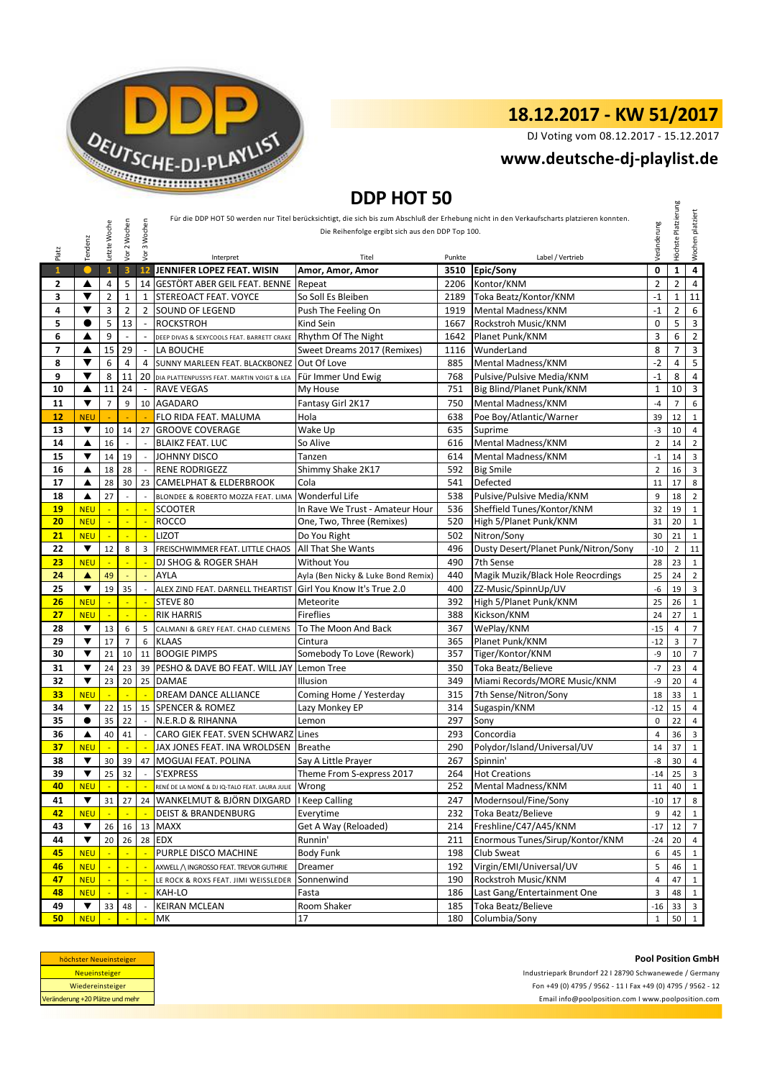

DJ Voting vom 08.12.2017 - 15.12.2017

## **<www.deutsche-dj-playlist.de>**

## **DDP HOT 50**

| DDP HUT 50     |                      |                 |                          |                          |                                                |                                                  |        |                                                                                                                                            |                |                     |                         |
|----------------|----------------------|-----------------|--------------------------|--------------------------|------------------------------------------------|--------------------------------------------------|--------|--------------------------------------------------------------------------------------------------------------------------------------------|----------------|---------------------|-------------------------|
|                |                      |                 |                          |                          |                                                |                                                  |        | Für die DDP HOT 50 werden nur Titel berücksichtigt, die sich bis zum Abschluß der Erhebung nicht in den Verkaufscharts platzieren konnten. |                | Höchste Platzierung | Wochen platziert        |
|                |                      | Letzte Woche    | 2 Wochen                 | 3 Wochen                 |                                                | Die Reihenfolge ergibt sich aus den DDP Top 100. |        |                                                                                                                                            | Veränderung    |                     |                         |
|                |                      |                 |                          |                          |                                                |                                                  |        |                                                                                                                                            |                |                     |                         |
| Platz          | Tendenz              |                 | yor                      | yor                      | Interpret                                      | Titel                                            | Punkte | Label / Vertrieb                                                                                                                           |                |                     |                         |
| $\overline{1}$ |                      | $\mathbf{1}$    | $\overline{\mathbf{3}}$  | 12                       | JENNIFER LOPEZ FEAT. WISIN                     | Amor, Amor, Amor                                 | 3510   | Epic/Sony                                                                                                                                  | 0              | $\mathbf{1}$        | $\overline{4}$          |
| 2              | ▲                    | 4               | 5                        |                          | 14 GESTÖRT ABER GEIL FEAT. BENNE               | Repeat                                           | 2206   | Kontor/KNM                                                                                                                                 | $\overline{2}$ | $\overline{2}$      | 4                       |
| 3              | ▼                    | $\overline{2}$  | $\mathbf{1}$             | 1                        | STEREOACT FEAT. VOYCE                          | So Soll Es Bleiben                               | 2189   | Toka Beatz/Kontor/KNM                                                                                                                      | $-1$           | $\mathbf{1}$        | 11                      |
| 4              | ▼                    | 3               | 2                        |                          | 2 SOUND OF LEGEND                              | Push The Feeling On                              | 1919   | Mental Madness/KNM                                                                                                                         | $-1$           | $\overline{2}$      | 6                       |
| 5              | $\bullet$            | 5               | 13                       | $\sim$                   | <b>ROCKSTROH</b>                               | Kind Sein                                        | 1667   | Rockstroh Music/KNM                                                                                                                        | 0              | 5                   | 3                       |
| 6              | ▲                    | 9               | $\overline{\phantom{a}}$ |                          | DEEP DIVAS & SEXYCOOLS FEAT. BARRETT CRAKE     | Rhythm Of The Night                              | 1642   | Planet Punk/KNM                                                                                                                            | 3              | 6                   | $\overline{2}$          |
| 7              | ▲                    | 15              | 29                       |                          | LA BOUCHE                                      | Sweet Dreams 2017 (Remixes)                      | 1116   | WunderLand                                                                                                                                 | 8              | 7                   | $\mathsf 3$             |
| 8              | ▼                    | 6               | $\overline{4}$           | 4                        | SUNNY MARLEEN FEAT. BLACKBONEZ                 | Out Of Love                                      | 885    | Mental Madness/KNM                                                                                                                         | $-2$           | 4                   | 5                       |
| 9              | ▼                    | 8               | 11                       |                          | 20 DIA PLATTENPUSSYS FEAT. MARTIN VOIGT & LEA  | Für Immer Und Ewig                               | 768    | Pulsive/Pulsive Media/KNM                                                                                                                  | $-1$           | 8                   | 4                       |
| 10             | ▲                    | 11              | 24                       | $\overline{\phantom{a}}$ | <b>RAVE VEGAS</b>                              | My House                                         | 751    | Big Blind/Planet Punk/KNM                                                                                                                  | $1\,$          | 10                  | 3                       |
| 11             | ▼                    | $\overline{7}$  | 9                        |                          | 10 AGADARO                                     | Fantasy Girl 2K17                                | 750    | Mental Madness/KNM                                                                                                                         | $-4$           | $\overline{7}$      | 6                       |
| 12             | <b>NEU</b>           |                 |                          |                          | FLO RIDA FEAT. MALUMA                          | Hola                                             | 638    | Poe Boy/Atlantic/Warner                                                                                                                    | 39             | 12                  | $\mathbf{1}$            |
| 13             | ▼                    | 10              | 14                       | 27                       | <b>GROOVE COVERAGE</b>                         | Wake Up                                          | 635    | Suprime                                                                                                                                    | -3             | 10                  | $\overline{4}$          |
| 14             | ▲                    | 16              | $\overline{a}$           |                          | <b>BLAIKZ FEAT. LUC</b>                        | So Alive                                         | 616    | Mental Madness/KNM                                                                                                                         | $\overline{2}$ | 14                  | $\overline{2}$          |
| 15             | ▼                    | 14              | 19                       |                          | <b>JOHNNY DISCO</b>                            | Tanzen                                           | 614    | Mental Madness/KNM                                                                                                                         | $-1$           | 14                  | $\mathbf{3}$            |
| 16             | ▲                    | 18              | 28                       |                          | <b>RENE RODRIGEZZ</b>                          | Shimmy Shake 2K17                                | 592    | <b>Big Smile</b>                                                                                                                           | $\overline{2}$ | 16                  | 3                       |
| 17             | ▲                    | 28              | 30                       | 23                       | <b>CAMELPHAT &amp; ELDERBROOK</b>              | Cola                                             | 541    | Defected                                                                                                                                   | 11             | 17                  | 8                       |
| 18             | ▲                    | 27              | $\overline{a}$           | $\overline{a}$           | BLONDEE & ROBERTO MOZZA FEAT. LIMA             | Wonderful Life                                   | 538    | Pulsive/Pulsive Media/KNM                                                                                                                  | 9              | 18                  | $\overline{2}$          |
| 19             | <b>NEU</b>           | ÷.              | ÷.                       | ÷.                       | <b>SCOOTER</b>                                 | In Rave We Trust - Amateur Hour                  | 536    | Sheffield Tunes/Kontor/KNM                                                                                                                 | 32             | 19                  | $\mathbf{1}$            |
| 20             | <b>NEU</b>           | $\blacksquare$  | $\blacksquare$           |                          | <b>ROCCO</b>                                   | One, Two, Three (Remixes)                        | 520    | High 5/Planet Punk/KNM                                                                                                                     | 31             | 20                  | $\mathbf{1}$            |
| 21             | <b>NEU</b>           | ÷               | ÷.                       |                          | LIZOT                                          | Do You Right                                     | 502    | Nitron/Sony                                                                                                                                | 30             | 21                  | $\mathbf{1}$            |
| 22             | ▼                    | 12              | 8                        | 3                        | FREISCHWIMMER FEAT. LITTLE CHAOS               | All That She Wants                               | 496    | Dusty Desert/Planet Punk/Nitron/Sony                                                                                                       | $-10$          | $\overline{2}$      | $11\,$                  |
| 23             | <b>NEU</b>           | L.              | $\mathbb{L}$             | ÷,                       | DJ SHOG & ROGER SHAH                           | <b>Without You</b>                               | 490    | 7th Sense                                                                                                                                  | 28             | 23                  | $\mathbf{1}$            |
| 24             | A                    | 49              | ÷.                       |                          | AYLA                                           | Ayla (Ben Nicky & Luke Bond Remix)               | 440    | Magik Muzik/Black Hole Reocrdings                                                                                                          | 25             | 24                  | $\overline{2}$          |
| 25             | ▼                    | 19              | 35                       |                          | ALEX ZIND FEAT. DARNELL THEARTIST              | Girl You Know It's True 2.0                      | 400    | ZZ-Music/SpinnUp/UV                                                                                                                        | -6             | 19                  | $\overline{3}$          |
| 26             | <b>NEU</b>           |                 | ÷,                       |                          | STEVE 80                                       | Meteorite                                        | 392    | High 5/Planet Punk/KNM                                                                                                                     | 25             | 26                  | $\mathbf{1}$            |
| 27             | <b>NEU</b>           |                 | $\blacksquare$           |                          | <b>RIK HARRIS</b>                              | <b>Fireflies</b>                                 | 388    | Kickson/KNM                                                                                                                                | 24             | 27                  | $\mathbf{1}$            |
| 28             | ▼                    | 13              | 6                        | 5                        | CALMANI & GREY FEAT. CHAD CLEMENS              | To The Moon And Back                             | 367    | WePlay/KNM                                                                                                                                 | $-15$          | $\overline{4}$      | $\overline{7}$          |
| 29             | ▼                    | 17              | $\overline{7}$           | 6                        | <b>KLAAS</b>                                   | Cintura                                          | 365    | Planet Punk/KNM                                                                                                                            | $-12$          | 3                   | $\overline{7}$          |
| 30             | ▼                    | 21              | 10                       | 11                       | <b>BOOGIE PIMPS</b>                            | Somebody To Love (Rework)                        | 357    | Tiger/Kontor/KNM                                                                                                                           | -9             | 10                  | $\overline{7}$          |
| 31             | ▼                    | 24              | 23                       |                          | 39 PESHO & DAVE BO FEAT. WILL JAY              | Lemon Tree                                       | 350    | Toka Beatz/Believe                                                                                                                         | $-7$           | 23                  | $\overline{4}$          |
| 32             | ▼                    | 23              | 20                       | 25                       | <b>DAMAE</b>                                   | Illusion                                         | 349    | Miami Records/MORE Music/KNM                                                                                                               | -9             | 20                  | 4                       |
| 33             | <b>NEU</b>           |                 |                          |                          | DREAM DANCE ALLIANCE                           | Coming Home / Yesterday                          | 315    | 7th Sense/Nitron/Sony                                                                                                                      | 18             | 33                  | $\mathbf{1}$            |
| 34             | ▼                    | 22              | 15                       | 15                       | <b>SPENCER &amp; ROMEZ</b>                     | Lazy Monkey EP                                   | 314    | Sugaspin/KNM                                                                                                                               | $-12$          | 15                  | $\overline{4}$          |
| 35             | $\bullet$            | 35              | 22                       |                          | N.E.R.D & RIHANNA                              | Lemon                                            | 297    | Sony                                                                                                                                       | 0              | 22                  | 4                       |
| 36             | ▲                    | 40              | 41                       |                          | CARO GIEK FEAT. SVEN SCHWARZ Lines             |                                                  | 293    | Concordia                                                                                                                                  | 4              | 36                  | 3                       |
| 37             | <b>NEU</b>           |                 |                          |                          | JAX JONES FEAT. INA WROLDSEN                   | <b>Breathe</b>                                   | 290    | Polydor/Island/Universal/UV                                                                                                                | 14             | 37                  | $\mathbf{1}$            |
| 38             | ▼                    | 30              | 39                       | 47                       | MOGUAI FEAT. POLINA                            | Say A Little Prayer                              | 267    | Spinnin'                                                                                                                                   | -8             | 30                  | $\overline{4}$          |
| 39             | ▼                    | 25 <sub>1</sub> | 32                       |                          | S'EXPRESS                                      | Theme From S-express 2017                        | 264    | <b>Hot Creations</b>                                                                                                                       |                | -14 25 3            |                         |
| 40             | <b>NEU</b>           |                 |                          |                          | RENÉ DE LA MONÉ & DJ IQ-TALO FEAT. LAURA JULIE | Wrong                                            | 252    | Mental Madness/KNM                                                                                                                         | 11             | 40                  | 1                       |
| 41             | $\blacktriangledown$ | 31              | 27                       |                          | 24 WANKELMUT & BJÖRN DIXGARD                   | I Keep Calling                                   | 247    | Modernsoul/Fine/Sony                                                                                                                       | $-10$          | 17                  | 8                       |
| 42             | <b>NEU</b>           |                 |                          |                          | <b>DEIST &amp; BRANDENBURG</b>                 | Everytime                                        | 232    | Toka Beatz/Believe                                                                                                                         | 9              | 42                  | $\mathbf{1}$            |
| 43             | ▼                    | 26              |                          | 16 13                    | <b>MAXX</b>                                    | Get A Way (Reloaded)                             | 214    | Freshline/C47/A45/KNM                                                                                                                      | $-17$          | 12                  | $\overline{7}$          |
| 44             | ▼                    | 20              |                          |                          | 26 28 EDX                                      | Runnin'                                          | 211    | Enormous Tunes/Sirup/Kontor/KNM                                                                                                            | $-24$          | 20                  | $\overline{4}$          |
| 45             | <b>NEU</b>           |                 |                          |                          | PURPLE DISCO MACHINE                           | <b>Body Funk</b>                                 | 198    | Club Sweat                                                                                                                                 | 6              | 45                  | 1                       |
| 46             | <b>NEU</b>           |                 |                          |                          | AXWELL / INGROSSO FEAT. TREVOR GUTHRIE         | Dreamer                                          | 192    | Virgin/EMI/Universal/UV                                                                                                                    | 5              | 46                  | 1                       |
| 47             | <b>NEU</b>           |                 | ÷                        |                          | LE ROCK & ROXS FEAT. JIMI WEISSLEDER           | Sonnenwind                                       | 190    | Rockstroh Music/KNM                                                                                                                        | $\overline{4}$ | 47                  |                         |
| 48             | <b>NEU</b>           |                 | $\mathbb{L}$             |                          | KAH-LO                                         | Fasta                                            | 186    | Last Gang/Entertainment One                                                                                                                | 3              | 48                  | 1                       |
| 49             | ▼                    | 33              | 48                       |                          | <b>KEIRAN MCLEAN</b>                           | Room Shaker                                      | 185    | Toka Beatz/Believe                                                                                                                         | -16            | 33                  | $\overline{\mathbf{3}}$ |
| 50             | <b>NEU</b>           |                 |                          |                          | МK                                             | 17                                               | 180    | Columbia/Sony                                                                                                                              | $\mathbf{1}$   | 50                  | $\vert$ 1               |

| höchster Neueinsteiger          |  |  |  |  |  |
|---------------------------------|--|--|--|--|--|
| <b>Neueinsteiger</b>            |  |  |  |  |  |
| Wiedereinsteiger                |  |  |  |  |  |
| Veränderung +20 Plätze und mehr |  |  |  |  |  |

<Email info@poolposition.com I www.poolposition.com> Industriepark Brundorf 22 I 28790 Schwanewede / Germany Fon +49 (0) 4795 / 9562 - 11 I Fax +49 (0) 4795 / 9562 - 12

#### **Pool Position GmbH**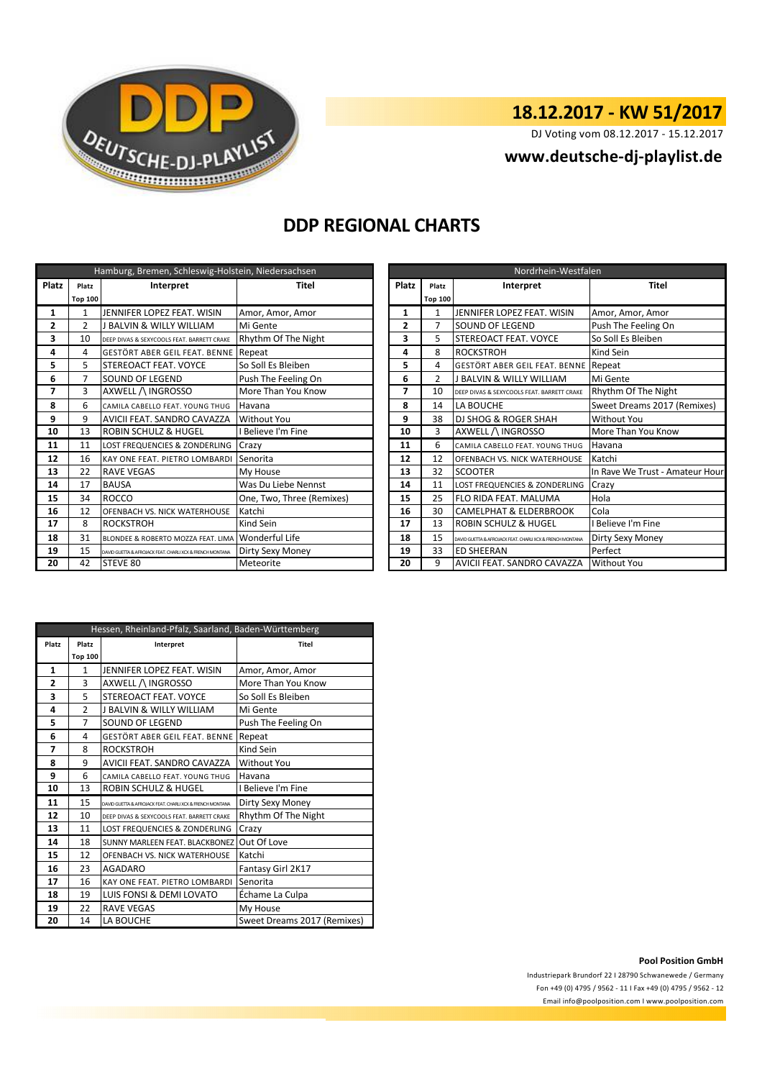

DJ Voting vom 08.12.2017 - 15.12.2017

### **<www.deutsche-dj-playlist.de>**

## **DDP REGIONAL CHARTS**

|       |                | Hamburg, Bremen, Schleswig-Holstein, Niedersachsen        |                           |                | Nordrhein-Westfalen |                                                           |                       |  |  |  |
|-------|----------------|-----------------------------------------------------------|---------------------------|----------------|---------------------|-----------------------------------------------------------|-----------------------|--|--|--|
| Platz | Platz          | Interpret                                                 | Titel                     | Platz          | Platz               | Interpret                                                 | Titel                 |  |  |  |
|       | <b>Top 100</b> |                                                           |                           |                | <b>Top 100</b>      |                                                           |                       |  |  |  |
| 1     | 1              | JENNIFER LOPEZ FEAT. WISIN                                | Amor, Amor, Amor          | 1              |                     | JENNIFER LOPEZ FEAT. WISIN                                | Amor, Amor, Amor      |  |  |  |
| 2     | $\overline{2}$ | J BALVIN & WILLY WILLIAM                                  | Mi Gente                  | $\overline{2}$ | 7                   | SOUND OF LEGEND                                           | Push The Feeling On   |  |  |  |
| 3     | 10             | DEEP DIVAS & SEXYCOOLS FEAT. BARRETT CRAKE                | Rhythm Of The Night       | 3              | 5                   | STEREOACT FEAT. VOYCE                                     | So Soll Es Bleiben    |  |  |  |
| 4     | Δ              | GESTÖRT ABER GEIL FEAT. BENNE Repeat                      |                           | 4              | 8                   | <b>ROCKSTROH</b>                                          | Kind Sein             |  |  |  |
| 5     | 5              | STEREOACT FEAT. VOYCE                                     | So Soll Es Bleiben        | 5              | 4                   | GESTÖRT ABER GEIL FEAT. BENNE                             | Repeat                |  |  |  |
| 6     | 7              | SOUND OF LEGEND                                           | Push The Feeling On       | 6              | $\mathcal{P}$       | J BALVIN & WILLY WILLIAM                                  | Mi Gente              |  |  |  |
| 7     | 3              | AXWELL /\ INGROSSO                                        | More Than You Know        | 7              | 10                  | DEEP DIVAS & SEXYCOOLS FEAT. BARRETT CRAKE                | Rhythm Of The Night   |  |  |  |
| 8     | 6              | CAMILA CABELLO FEAT. YOUNG THUG                           | Havana                    | 8              | 14                  | LA BOUCHE                                                 | Sweet Dreams 2017 (   |  |  |  |
| 9     | 9              | AVICII FEAT. SANDRO CAVAZZA                               | Without You               | 9              | 38                  | <b>DJ SHOG &amp; ROGER SHAH</b>                           | Without You           |  |  |  |
| 10    | 13             | ROBIN SCHULZ & HUGEL                                      | <b>Believe I'm Fine</b>   | 10             | 3                   | AXWELL /\ INGROSSO                                        | More Than You Know    |  |  |  |
| 11    | 11             | LOST FREQUENCIES & ZONDERLING                             | Crazy                     | 11             | 6                   | CAMILA CABELLO FEAT. YOUNG THUG                           | Havana                |  |  |  |
| 12    | 16             | KAY ONE FEAT. PIETRO LOMBARDI                             | Senorita                  | 12             | 12                  | OFENBACH VS. NICK WATERHOUSE                              | Katchi                |  |  |  |
| 13    | 22             | <b>RAVE VEGAS</b>                                         | My House                  | 13             | 32                  | <b>SCOOTER</b>                                            | In Rave We Trust - Am |  |  |  |
| 14    | 17             | <b>BAUSA</b>                                              | Was Du Liebe Nennst       | 14             | 11                  | <b>LOST FREQUENCIES &amp; ZONDERLING</b>                  | Crazy                 |  |  |  |
| 15    | 34             | <b>ROCCO</b>                                              | One, Two, Three (Remixes) | 15             | 25                  | FLO RIDA FEAT. MALUMA                                     | Hola                  |  |  |  |
| 16    | 12             | OFENBACH VS. NICK WATERHOUSE                              | Katchi                    | 16             | 30                  | <b>CAMELPHAT &amp; ELDERBROOK</b>                         | Cola                  |  |  |  |
| 17    | 8              | <b>ROCKSTROH</b>                                          | Kind Sein                 | 17             | 13                  | <b>ROBIN SCHULZ &amp; HUGEL</b>                           | Believe I'm Fine      |  |  |  |
| 18    | 31             | BLONDEE & ROBERTO MOZZA FEAT. LIMA                        | Wonderful Life            | 18             | 15                  | DAVID GUETTA & AFROJACK FEAT, CHARLI XCX & FRENCH MONTANA | Dirty Sexy Money      |  |  |  |
| 19    | 15             | DAVID GUETTA & AFROJACK FEAT. CHARLI XCX & FRENCH MONTANA | Dirty Sexy Money          | 19             | 33                  | <b>ED SHEERAN</b>                                         | Perfect               |  |  |  |
| 20    | 42             | STEVE 80                                                  | Meteorite                 | 20             | 9                   | AVICII FEAT. SANDRO CAVAZZA                               | Without You           |  |  |  |

|                |                | Hamburg, Bremen, Schleswig-Holstein, Niedersachsen        |                           |       | Nordrhein-Westfalen |                                                           |                                 |  |  |  |
|----------------|----------------|-----------------------------------------------------------|---------------------------|-------|---------------------|-----------------------------------------------------------|---------------------------------|--|--|--|
| latz           | Platz          | Interpret                                                 | Titel                     | Platz | Platz               | Interpret                                                 | <b>Titel</b>                    |  |  |  |
|                | <b>Top 100</b> |                                                           |                           |       | <b>Top 100</b>      |                                                           |                                 |  |  |  |
| 1              | 1              | JENNIFER LOPEZ FEAT. WISIN                                | Amor, Amor, Amor          | 1     |                     | JENNIFER LOPEZ FEAT. WISIN                                | Amor, Amor, Amor                |  |  |  |
| 2              | $\overline{2}$ | J BALVIN & WILLY WILLIAM                                  | Mi Gente                  | 2     |                     | SOUND OF LEGEND                                           | Push The Feeling On             |  |  |  |
| 3              | 10             | DEEP DIVAS & SEXYCOOLS FEAT. BARRETT CRAKE                | Rhythm Of The Night       | 3     |                     | STEREOACT FEAT. VOYCE                                     | So Soll Es Bleiben              |  |  |  |
| 4              | 4              | GESTÖRT ABER GEIL FEAT. BENNE Repeat                      |                           | 4     | 8                   | <b>ROCKSTROH</b>                                          | Kind Sein                       |  |  |  |
| 5              | 5.             | <b>ISTEREOACT FEAT. VOYCE</b>                             | So Soll Es Bleiben        | 5     | 4                   | GESTÖRT ABER GEIL FEAT. BENNE Repeat                      |                                 |  |  |  |
| 6              | 7              | <b>SOUND OF LEGEND</b>                                    | Push The Feeling On       | 6     | $\mathcal{P}$       | <b>J BALVIN &amp; WILLY WILLIAM</b>                       | Mi Gente                        |  |  |  |
| $\overline{7}$ | 3              | AXWELL /\ INGROSSO                                        | More Than You Know        | 7     | 10                  | DEEP DIVAS & SEXYCOOLS FEAT. BARRETT CRAKE                | Rhythm Of The Night             |  |  |  |
| 8              | 6              | CAMILA CABELLO FEAT. YOUNG THUG                           | Havana                    | 8     | 14                  | LA BOUCHE                                                 | Sweet Dreams 2017 (Remixes)     |  |  |  |
| 9              | 9              | AVICII FEAT. SANDRO CAVAZZA                               | <b>Without You</b>        | 9     | 38                  | <b>DJ SHOG &amp; ROGER SHAH</b>                           | <b>Without You</b>              |  |  |  |
| 10             | 13             | <b>ROBIN SCHULZ &amp; HUGEL</b>                           | Believe I'm Fine          | 10    | 3                   | AXWELL / INGROSSO                                         | More Than You Know              |  |  |  |
| 11             | 11             | LOST FREQUENCIES & ZONDERLING                             | Crazy                     | 11    | 6                   | CAMILA CABELLO FEAT. YOUNG THUG                           | Havana                          |  |  |  |
| 12             | 16             | <b>KAY ONE FEAT. PIETRO LOMBARDI</b>                      | Senorita                  | 12    | 12                  | OFENBACH VS. NICK WATERHOUSE                              | Katchi                          |  |  |  |
| 13             | 22             | <b>RAVE VEGAS</b>                                         | My House                  | 13    | 32                  | <b>SCOOTER</b>                                            | In Rave We Trust - Amateur Hour |  |  |  |
| 14             | 17             | <b>BAUSA</b>                                              | Was Du Liebe Nennst       | 14    | 11                  | LOST FREQUENCIES & ZONDERLING                             | Crazy                           |  |  |  |
| 15             | 34             | <b>ROCCO</b>                                              | One, Two, Three (Remixes) | 15    | 25                  | FLO RIDA FEAT. MALUMA                                     | Hola                            |  |  |  |
| 16             | 12             | <b>OFENBACH VS. NICK WATERHOUSE</b>                       | Katchi                    | 16    | 30                  | <b>CAMELPHAT &amp; ELDERBROOK</b>                         | Cola                            |  |  |  |
| 17             | 8              | <b>ROCKSTROH</b>                                          | Kind Sein                 | 17    | 13                  | ROBIN SCHULZ & HUGEL                                      | I Believe I'm Fine              |  |  |  |
| 18             | 31             | BLONDEE & ROBERTO MOZZA FEAT. LIMA                        | <b>Wonderful Life</b>     | 18    | 15                  | DAVID GUETTA & AFROJACK FEAT, CHARLI XCX & FRENCH MONTANA | Dirty Sexy Money                |  |  |  |
| 19             | 15             | DAVID GUETTA & AFROJACK FEAT, CHARLI XCX & FRENCH MONTANA | Dirty Sexy Money          | 19    | 33                  | <b>ED SHEERAN</b>                                         | Perfect                         |  |  |  |
| 20             | 42             | STEVE 80                                                  | Meteorite                 | 20    | 9                   | AVICII FEAT. SANDRO CAVAZZA                               | <b>Without You</b>              |  |  |  |

|       |                | Hessen, Rheinland-Pfalz, Saarland, Baden-Württemberg      |                             |
|-------|----------------|-----------------------------------------------------------|-----------------------------|
| Platz | Platz          | Interpret                                                 | Titel                       |
|       | <b>Top 100</b> |                                                           |                             |
| 1     | 1              | JENNIFER LOPEZ FEAT, WISIN                                | Amor, Amor, Amor            |
| 2     | 3              | AXWELL /\ INGROSSO                                        | More Than You Know          |
| 3     | 5              | STEREOACT FEAT, VOYCE                                     | So Soll Es Bleiben          |
| 4     | $\overline{2}$ | <b>J BALVIN &amp; WILLY WILLIAM</b>                       | Mi Gente                    |
| 5     | $\overline{7}$ | <b>SOUND OF LEGEND</b>                                    | Push The Feeling On         |
| 6     | 4              | GESTÖRT ABER GEIL FEAT. BENNE                             | Repeat                      |
| 7     | 8              | <b>ROCKSTROH</b>                                          | Kind Sein                   |
| 8     | 9              | AVICII FEAT. SANDRO CAVAZZA                               | Without You                 |
| 9     | 6              | CAMILA CABELLO FEAT. YOUNG THUG                           | Havana                      |
| 10    | 13             | <b>ROBIN SCHULZ &amp; HUGEL</b>                           | I Believe I'm Fine          |
| 11    | 15             | DAVID GUETTA & AFROJACK FEAT, CHARLI XCX & FRENCH MONTANA | Dirty Sexy Money            |
| 12    | 10             | DEEP DIVAS & SEXYCOOLS FEAT. BARRETT CRAKE                | Rhythm Of The Night         |
| 13    | 11             | LOST FREQUENCIES & ZONDERLING                             | Crazy                       |
| 14    | 18             | SUNNY MARLEEN FEAT. BLACKBONEZ                            | Out Of Love                 |
| 15    | 12             | OFENBACH VS. NICK WATERHOUSE                              | Katchi                      |
| 16    | 23             | <b>AGADARO</b>                                            | Fantasy Girl 2K17           |
| 17    | 16             | KAY ONE FEAT. PIETRO LOMBARDI                             | Senorita                    |
| 18    | 19             | LUIS FONSI & DEMI LOVATO                                  | Échame La Culpa             |
| 19    | 22             | <b>RAVE VEGAS</b>                                         | My House                    |
| 20    | 14             | LA BOUCHE                                                 | Sweet Dreams 2017 (Remixes) |

#### **Pool Position GmbH**

Industriepark Brundorf 22 I 28790 Schwanewede / Germany Fon +49 (0) 4795 / 9562 - 11 I Fax +49 (0) 4795 / 9562 - 12 <Email info@poolposition.com I www.poolposition.com>